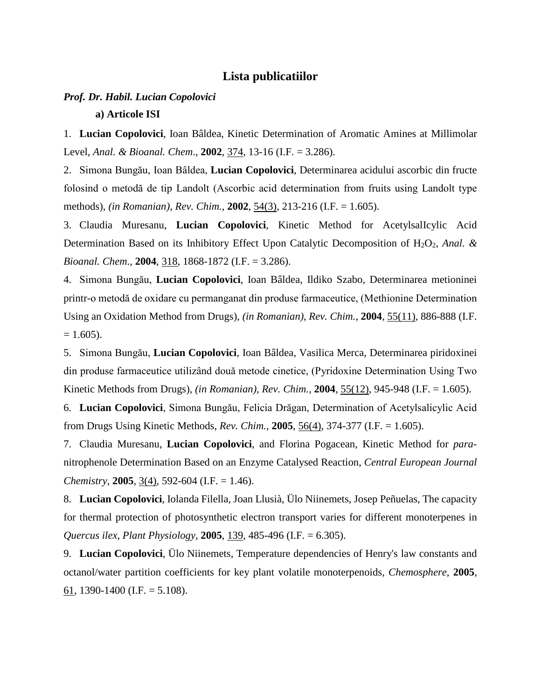#### **Lista publicatiilor**

# *Prof. Dr. Habil. Lucian Copolovici*

#### **a) Articole ISI**

1. **Lucian Copolovici**, Ioan Bâldea, Kinetic Determination of Aromatic Amines at Millimolar Level, *Anal. & Bioanal. Chem*., **2002**, 374, 13-16 (I.F. = 3.286).

2. Simona Bungău, Ioan Bâldea, **Lucian Copolovici**, Determinarea acidului ascorbic din fructe folosind o metodă de tip Landolt (Ascorbic acid determination from fruits using Landolt type methods), *(in Romanian)*, *Rev. Chim.,* **2002**, 54(3), 213-216 (I.F. = 1.605).

3. Claudia Muresanu, **Lucian Copolovici**, Kinetic Method for AcetylsalIcylic Acid Determination Based on its Inhibitory Effect Upon Catalytic Decomposition of H<sub>2</sub>O<sub>2</sub>, *Anal. & Bioanal. Chem*., **2004**, 318, 1868-1872 (I.F. = 3.286).

4. Simona Bungău, **Lucian Copolovici**, Ioan Bâldea, Ildiko Szabo, Determinarea metioninei printr-o metodă de oxidare cu permanganat din produse farmaceutice, (Methionine Determination Using an Oxidation Method from Drugs), *(in Romanian)*, *Rev. Chim.,* **2004**, 55(11), 886-888 (I.F.  $= 1.605$ ).

5. Simona Bungău, **Lucian Copolovici**, Ioan Bâldea, Vasilica Merca, Determinarea piridoxinei din produse farmaceutice utilizând două metode cinetice, (Pyridoxine Determination Using Two Kinetic Methods from Drugs), *(in Romanian)*, *Rev. Chim.,* **2004**, 55(12), 945-948 (I.F. = 1.605).

6. **Lucian Copolovici**, Simona Bungău, Felicia Drăgan, Determination of Acetylsalicylic Acid from Drugs Using Kinetic Methods, *Rev. Chim.,* **2005**, 56(4), 374-377 (I.F. = 1.605).

7. Claudia Muresanu, **Lucian Copolovici**, and Florina Pogacean, Kinetic Method for *para*nitrophenole Determination Based on an Enzyme Catalysed Reaction, *Central European Journal Chemistry*, **2005**, 3(4), 592-604 (I.F. = 1.46).

8. **Lucian Copolovici**, Iolanda Filella, Joan Llusià, Ülo Niinemets, Josep Peñuelas, The capacity for thermal protection of photosynthetic electron transport varies for different monoterpenes in *Quercus ilex*, *Plant Physiology*, **2005**, 139, 485-496 (I.F. = 6.305).

9. **Lucian Copolovici**, Ülo Niinemets, Temperature dependencies of Henry's law constants and octanol/water partition coefficients for key plant volatile monoterpenoids, *Chemosphere*, **2005**, 61, 1390-1400 (I.F. =  $5.108$ ).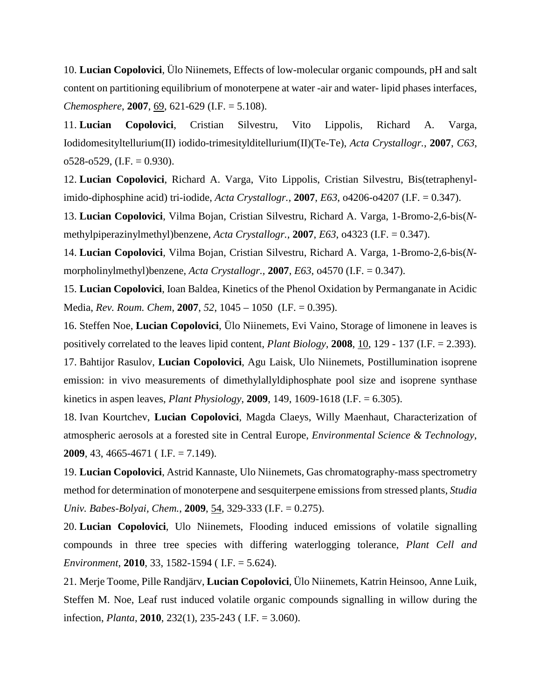10. **Lucian Copolovici**, Ülo Niinemets, Effects of low-molecular organic compounds, pH and salt content on partitioning equilibrium of monoterpene at water -air and water- lipid phases interfaces, *Chemosphere*, **2007**, 69, 621-629 (I.F. = 5.108).

11. **Lucian Copolovici**, Cristian Silvestru, Vito Lippolis, Richard A. Varga, Iodidomesityltellurium(II) iodido-trimesitylditellurium(II)(Te-Te), *Acta Crystallogr.*, **2007**, *C63*,  $o528-<sub>0</sub>529$ , (I.F. = 0.930).

12. **Lucian Copolovici**, Richard A. Varga, Vito Lippolis, Cristian Silvestru, Bis(tetraphenylimido-diphosphine acid) tri-iodide, *Acta Crystallogr.,* **2007**, *E63*, o4206-o4207 (I.F. = 0.347).

13. **Lucian Copolovici**, Vilma Bojan, Cristian Silvestru, Richard A. Varga, 1-Bromo-2,6-bis(*N*methylpiperazinylmethyl)benzene, *Acta Crystallogr.,* **2007**, *E63*, o4323 (I.F. = 0.347).

14. **Lucian Copolovici**, Vilma Bojan, Cristian Silvestru, Richard A. Varga, 1-Bromo-2,6-bis(*N*morpholinylmethyl)benzene, *Acta Crystallogr.,* **2007**, *E63*, o4570 (I.F. = 0.347).

15. **Lucian Copolovici**, Ioan Baldea, Kinetics of the Phenol Oxidation by Permanganate in Acidic Media, *Rev. Roum. Chem*, **2007**, *52*, 1045 – 1050 (I.F. = 0.395).

16. Steffen Noe, **Lucian Copolovici**, Ülo Niinemets, Evi Vaino, Storage of limonene in leaves is positively correlated to the leaves lipid content, *Plant Biology,* **2008**, 10, 129 - 137 (I.F. = 2.393). 17. Bahtijor Rasulov, **Lucian Copolovici**, Agu Laisk, Ulo Niinemets, Postillumination isoprene

emission: in vivo measurements of dimethylallyldiphosphate pool size and isoprene synthase kinetics in aspen leaves, *Plant Physiology*, **2009**, 149, 1609-1618 (I.F. = 6.305).

18. Ivan Kourtchev, **Lucian Copolovici**, Magda Claeys, Willy Maenhaut, Characterization of atmospheric aerosols at a forested site in Central Europe, *Environmental Science & Technology*, **2009**, 43, 4665-4671 ( I.F. = 7.149).

19. **Lucian Copolovici**, Astrid Kannaste, Ulo Niinemets, Gas chromatography-mass spectrometry method for determination of monoterpene and sesquiterpene emissions from stressed plants, *Studia Univ. Babes-Bolyai, Chem.*, **2009**, 54, 329-333 (I.F. = 0.275).

20. **Lucian Copolovici**, Ulo Niinemets, Flooding induced emissions of volatile signalling compounds in three tree species with differing waterlogging tolerance, *Plant Cell and Environment*, **2010**, 33, 1582-1594 ( I.F. = 5.624).

21. Merje Toome, Pille Randjärv, **Lucian Copolovici**, Ülo Niinemets, Katrin Heinsoo, Anne Luik, Steffen M. Noe, Leaf rust induced volatile organic compounds signalling in willow during the infection, *Planta*, **2010**, 232(1), 235-243 ( I.F. = 3.060).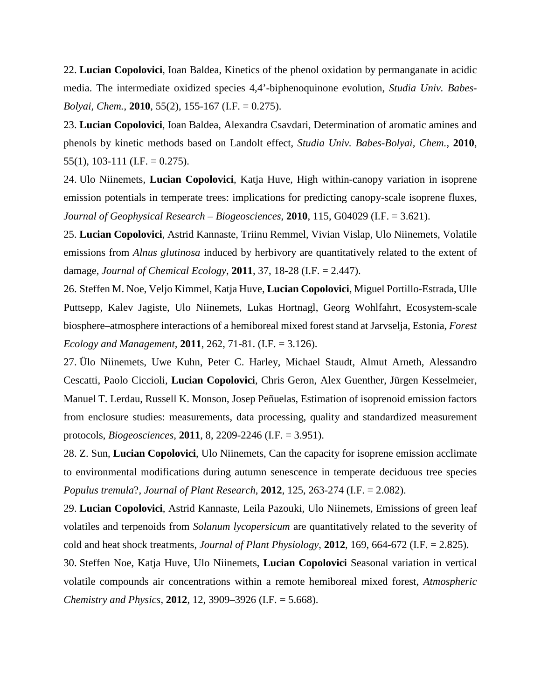22. **Lucian Copolovici**, Ioan Baldea, Kinetics of the phenol oxidation by permanganate in acidic media. The intermediate oxidized species 4,4'-biphenoquinone evolution, *Studia Univ. Babes-Bolyai, Chem.*, **2010**, 55(2), 155-167 (I.F. = 0.275).

23. **Lucian Copolovici**, Ioan Baldea, Alexandra Csavdari, Determination of aromatic amines and phenols by kinetic methods based on Landolt effect, *Studia Univ. Babes-Bolyai, Chem.*, **2010**, 55(1), 103-111 (I.F. = 0.275).

24. Ulo Niinemets, **Lucian Copolovici**, Katja Huve, High within-canopy variation in isoprene emission potentials in temperate trees: implications for predicting canopy-scale isoprene fluxes, *Journal of Geophysical Research – Biogeosciences*, **2010**, 115, G04029 (I.F. = 3.621).

25. **Lucian Copolovici**, Astrid Kannaste, Triinu Remmel, Vivian Vislap, Ulo Niinemets, Volatile emissions from *Alnus glutinosa* induced by herbivory are quantitatively related to the extent of damage, *Journal of Chemical Ecology*, **2011**, 37, 18-28 (I.F. = 2.447).

26. Steffen M. Noe, Veljo Kimmel, Katja Huve, **Lucian Copolovici**, Miguel Portillo-Estrada, Ulle Puttsepp, Kalev Jagiste, Ulo Niinemets, Lukas Hortnagl, Georg Wohlfahrt, Ecosystem-scale biosphere–atmosphere interactions of a hemiboreal mixed forest stand at Jarvselja, Estonia, *Forest Ecology and Management,* **2011**, 262, 71-81. (I.F. = 3.126).

27. Ülo Niinemets, Uwe Kuhn, Peter C. Harley, Michael Staudt, Almut Arneth, Alessandro Cescatti, Paolo Ciccioli, **Lucian Copolovici**, Chris Geron, Alex Guenther, Jürgen Kesselmeier, Manuel T. Lerdau, Russell K. Monson, Josep Peñuelas, Estimation of isoprenoid emission factors from enclosure studies: measurements, data processing, quality and standardized measurement protocols, *Biogeosciences*, **2011**, 8, 2209-2246 (I.F. = 3.951).

28. Z. Sun, **Lucian Copolovici**, Ulo Niinemets, Can the capacity for isoprene emission acclimate to environmental modifications during autumn senescence in temperate deciduous tree species *Populus tremula*?, *Journal of Plant Research*, **2012**, 125, 263-274 (I.F. = 2.082).

29. **Lucian Copolovici**, Astrid Kannaste, Leila Pazouki, Ulo Niinemets, Emissions of green leaf volatiles and terpenoids from *Solanum lycopersicum* are quantitatively related to the severity of cold and heat shock treatments, *Journal of Plant Physiology*, **2012**, 169, 664-672 (I.F. = 2.825).

30. Steffen Noe, Katja Huve, Ulo Niinemets, **Lucian Copolovici** Seasonal variation in vertical volatile compounds air concentrations within a remote hemiboreal mixed forest, *Atmospheric Chemistry and Physics*, **2012**, 12, 3909–3926 (I.F. = 5.668).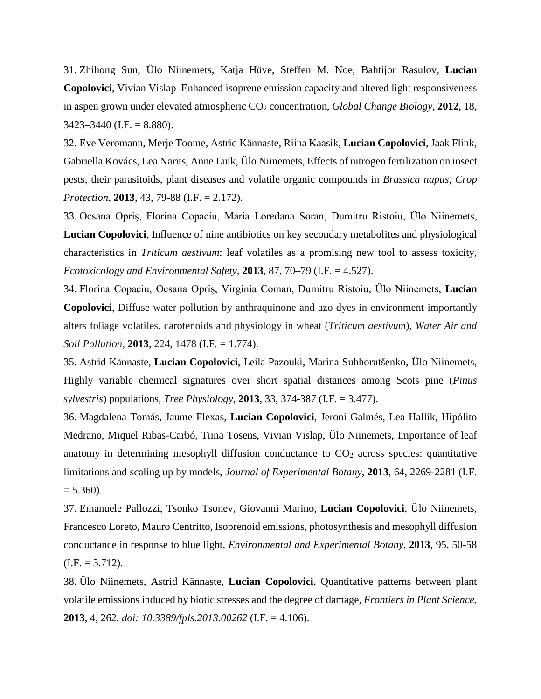31. Zhihong Sun, Ülo Niinemets, Katja Hüve, Steffen M. Noe, Bahtijor Rasulov, **Lucian Copolovici**, Vivian Vislap Enhanced isoprene emission capacity and altered light responsiveness in aspen grown under elevated atmospheric CO<sub>2</sub> concentration, *Global Change Biology*, **2012**, 18,  $3423 - 3440$  (I.F. = 8.880).

32. Eve Veromann, Merje Toome, Astrid Kännaste, Riina Kaasik, **Lucian Copolovici**, Jaak Flink, Gabriella Kovács, Lea Narits, Anne Luik, Ülo Niinemets, Effects of nitrogen fertilization on insect pests, their parasitoids, plant diseases and volatile organic compounds in *Brassica napus*, *Crop Protection*, **2013**, 43, 79-88 (I.F. = 2.172).

33. Ocsana Opriş, Florina Copaciu, Maria Loredana Soran, Dumitru Ristoiu, Ülo Niinemets, **Lucian Copolovici**, Influence of nine antibiotics on key secondary metabolites and physiological characteristics in *Triticum aestivum*: leaf volatiles as a promising new tool to assess toxicity, *Ecotoxicology and Environmental Safety*, **2013**, 87, 70–79 (I.F. = 4.527).

34. Florina Copaciu, Ocsana Opriş, Virginia Coman, Dumitru Ristoiu, Ülo Niinemets, **Lucian Copolovici**, Diffuse water pollution by anthraquinone and azo dyes in environment importantly alters foliage volatiles, carotenoids and physiology in wheat (*Triticum aestivum*), *Water Air and Soil Pollution*, **2013**, 224, 1478 (I.F. = 1.774).

35. Astrid Kännaste, **Lucian Copolovici**, Leila Pazouki, Marina Suhhorutšenko, Ülo Niinemets, Highly variable chemical signatures over short spatial distances among Scots pine (*Pinus sylvestris*) populations, *Tree Physiology*, **2013**, 33, 374-387 (I.F. = 3.477).

36. Magdalena Tomás, Jaume Flexas, **Lucian Copolovici**, Jeroni Galmés, Lea Hallik, Hipólito Medrano, Miquel Ribas-Carbó, Tiina Tosens, Vivian Vislap, Ülo Niinemets, Importance of leaf anatomy in determining mesophyll diffusion conductance to  $CO<sub>2</sub>$  across species: quantitative limitations and scaling up by models, *Journal of Experimental Botany*, **2013**, 64, 2269-2281 (I.F.  $= 5.360$ ).

37. Emanuele Pallozzi, Tsonko Tsonev, Giovanni Marino, **Lucian Copolovici**, Ülo Niinemets, Francesco Loreto, Mauro Centritto, Isoprenoid emissions, photosynthesis and mesophyll diffusion conductance in response to blue light, *Environmental and Experimental Botany*, **2013**, 95, 50-58  $(I.F. = 3.712).$ 

38. Ülo Niinemets, Astrid Kännaste, **Lucian Copolovici**, Quantitative patterns between plant volatile emissions induced by biotic stresses and the degree of damage, *Frontiers in Plant Science,*  **2013**, 4, 262*. doi: 10.3389/fpls.2013.00262* (I.F. = 4.106).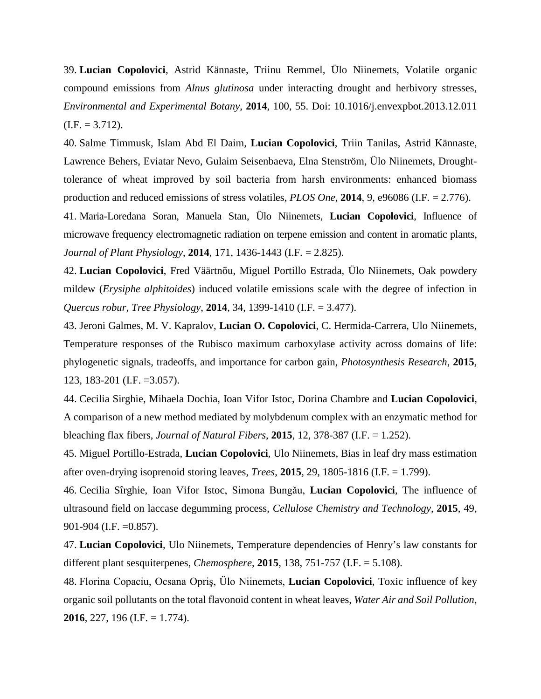39. **Lucian Copolovici**, Astrid Kännaste, Triinu Remmel, Ülo Niinemets, Volatile organic compound emissions from *Alnus glutinosa* under interacting drought and herbivory stresses, *Environmental and Experimental Botany*, **2014**, 100, 55. Doi: 10.1016/j.envexpbot.2013.12.011  $(I.F. = 3.712).$ 

40. Salme Timmusk, Islam Abd El Daim, **Lucian Copolovici**, Triin Tanilas, Astrid Kännaste, Lawrence Behers, Eviatar Nevo, Gulaim Seisenbaeva, Elna Stenström, Ülo Niinemets, Droughttolerance of wheat improved by soil bacteria from harsh environments: enhanced biomass production and reduced emissions of stress volatiles, *PLOS One*, **2014**, 9, e96086 (I.F. = 2.776).

41. Maria-Loredana Soran, Manuela Stan, Ülo Niinemets, **Lucian Copolovici**, Influence of microwave frequency electromagnetic radiation on terpene emission and content in aromatic plants, *Journal of Plant Physiology*, **2014**, 171, 1436-1443 (I.F. = 2.825).

42. **Lucian Copolovici**, Fred Väärtnõu, Miguel Portillo Estrada, Ülo Niinemets, Oak powdery mildew (*Erysiphe alphitoides*) induced volatile emissions scale with the degree of infection in *Quercus robur*, *Tree Physiology*, **2014**, 34, 1399-1410 (I.F. = 3.477).

43. Jeroni Galmes, M. V. Kapralov, **Lucian O. Copolovici**, C. Hermida-Carrera, Ulo Niinemets, Temperature responses of the Rubisco maximum carboxylase activity across domains of life: phylogenetic signals, tradeoffs, and importance for carbon gain, *Photosynthesis Research*, **2015**, 123, 183-201 (I.F. =3.057).

44. Cecilia Sirghie, Mihaela Dochia, Ioan Vifor Istoc, Dorina Chambre and **Lucian Copolovici**, A comparison of a new method mediated by molybdenum complex with an enzymatic method for bleaching flax fibers, *Journal of Natural Fibers*, **2015**, 12, 378-387 (I.F. = 1.252).

45. Miguel Portillo-Estrada, **Lucian Copolovici**, Ulo Niinemets, Bias in leaf dry mass estimation after oven-drying isoprenoid storing leaves, *Trees*, **2015**, 29, 1805-1816 (I.F. = 1.799).

46. Cecilia Sîrghie, Ioan Vifor Istoc, Simona Bungǎu, **Lucian Copolovici**, The influence of ultrasound field on laccase degumming process, *Cellulose Chemistry and Technology*, **2015**, 49, 901-904 (I.F. =0.857).

47. **Lucian Copolovici**, Ulo Niinemets, Temperature dependencies of Henry's law constants for different plant sesquiterpenes, *Chemosphere*, **2015**, 138, 751-757 (I.F. = 5.108).

48. Florina Copaciu, Ocsana Opriş, Ülo Niinemets, **Lucian Copolovici**, Toxic influence of key organic soil pollutants on the total flavonoid content in wheat leaves, *Water Air and Soil Pollution*, **2016**, 227, 196 (I.F. = 1.774).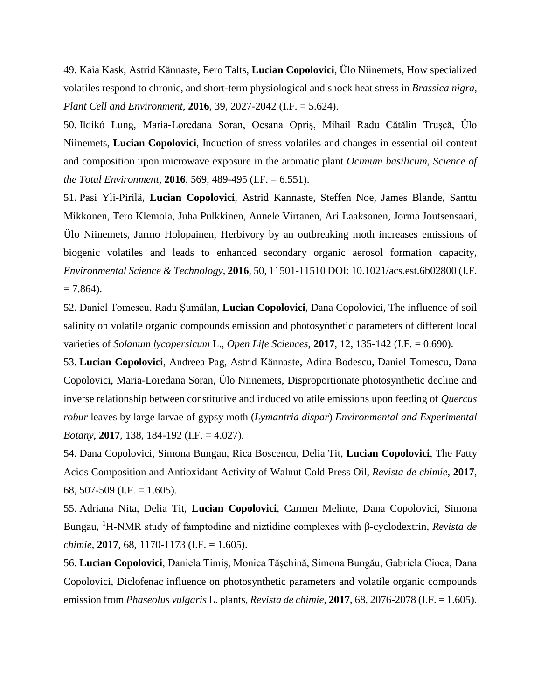49. Kaia Kask, Astrid Kännaste, Eero Talts, **Lucian Copolovici**, Ülo Niinemets, How specialized volatiles respond to chronic, and short-term physiological and shock heat stress in *Brassica nigra*, *Plant Cell and Environment*, **2016**, 39, 2027-2042 (I.F. = 5.624).

50. Ildikó Lung, Maria-Loredana Soran, Ocsana Opriş, Mihail Radu Cătălin Truşcă, Ülo Niinemets, **Lucian Copolovici**, Induction of stress volatiles and changes in essential oil content and composition upon microwave exposure in the aromatic plant *Ocimum basilicum*, *Science of the Total Environment*, **2016**, 569, 489-495 (I.F. = 6.551).

51. Pasi Yli-Pirilä, **Lucian Copolovici**, Astrid Kannaste, Steffen Noe, James Blande, Santtu Mikkonen, Tero Klemola, Juha Pulkkinen, Annele Virtanen, Ari Laaksonen, Jorma Joutsensaari, Ülo Niinemets, Jarmo Holopainen, Herbivory by an outbreaking moth increases emissions of biogenic volatiles and leads to enhanced secondary organic aerosol formation capacity, *Environmental Science & Technology*, **2016**, 50, 11501-11510 DOI: 10.1021/acs.est.6b02800 (I.F.  $= 7.864$ ).

52. Daniel Tomescu, Radu Şumălan, **Lucian Copolovici**, Dana Copolovici, The influence of soil salinity on volatile organic compounds emission and photosynthetic parameters of different local varieties of *Solanum lycopersicum* L., *Open Life Sciences*, **2017**, 12, 135-142 (I.F. = 0.690).

53. **Lucian Copolovici**, Andreea Pag, Astrid Kännaste, Adina Bodescu, Daniel Tomescu, Dana Copolovici, Maria-Loredana Soran, Ülo Niinemets, Disproportionate photosynthetic decline and inverse relationship between constitutive and induced volatile emissions upon feeding of *Quercus robur* leaves by large larvae of gypsy moth (*Lymantria dispar*) *Environmental and Experimental Botany*, **2017**, 138, 184-192 (I.F. = 4.027).

54. Dana Copolovici, Simona Bungau, Rica Boscencu, Delia Tit, **Lucian Copolovici**, The Fatty Acids Composition and Antioxidant Activity of Walnut Cold Press Oil, *Revista de chimie*, **2017**, 68, 507-509 (I.F. = 1.605).

55. Adriana Nita, Delia Tit, **Lucian Copolovici**, Carmen Melinte, Dana Copolovici, Simona Bungau, <sup>1</sup> H-NMR study of famptodine and niztidine complexes with β-cyclodextrin, *Revista de chimie*, **2017**, 68, 1170-1173 (I.F. = 1.605).

56. **Lucian Copolovici**, Daniela Timiş, Monica Tăşchină, Simona Bungău, Gabriela Cioca, Dana Copolovici, Diclofenac influence on photosynthetic parameters and volatile organic compounds emission from *Phaseolus vulgaris* L. plants, *Revista de chimie*, **2017**, 68, 2076-2078 (I.F. = 1.605).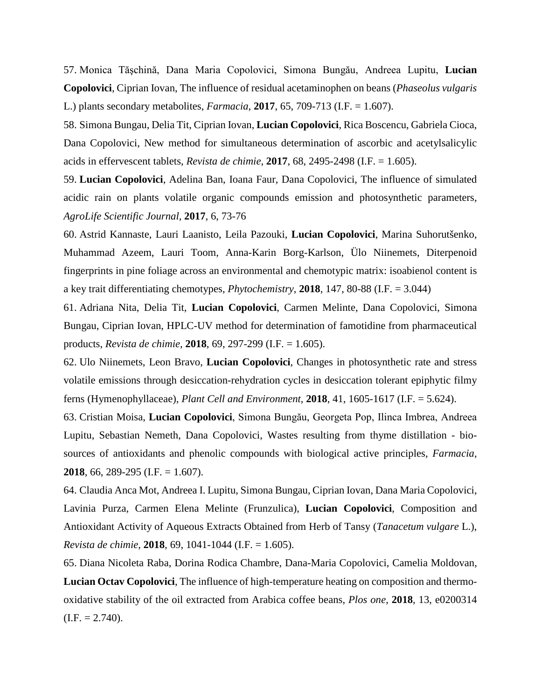57. Monica Tăşchină, Dana Maria Copolovici, Simona Bungău, Andreea Lupitu, **Lucian Copolovici**, Ciprian Iovan, The influence of residual acetaminophen on beans (*Phaseolus vulgaris* L.) plants secondary metabolites, *Farmacia*, **2017**, 65, 709-713 (I.F. = 1.607).

58. Simona Bungau, Delia Tit, Ciprian Iovan, **Lucian Copolovici**, Rica Boscencu, Gabriela Cioca, Dana Copolovici, New method for simultaneous determination of ascorbic and acetylsalicylic acids in effervescent tablets, *Revista de chimie*, **2017**, 68, 2495-2498 (I.F. = 1.605).

59. **Lucian Copolovici**, Adelina Ban, Ioana Faur, Dana Copolovici, The influence of simulated acidic rain on plants volatile organic compounds emission and photosynthetic parameters, *AgroLife Scientific Journal*, **2017**, 6, 73-76

60. Astrid Kannaste, Lauri Laanisto, Leila Pazouki, **Lucian Copolovici**, Marina Suhorutšenko, Muhammad Azeem, Lauri Toom, Anna-Karin Borg-Karlson, Ülo Niinemets, Diterpenoid fingerprints in pine foliage across an environmental and chemotypic matrix: isoabienol content is a key trait differentiating chemotypes, *Phytochemistry*, **2018**, 147, 80-88 (I.F. = 3.044)

61. Adriana Nita, Delia Tit, **Lucian Copolovici**, Carmen Melinte, Dana Copolovici, Simona Bungau, Ciprian Iovan, HPLC-UV method for determination of famotidine from pharmaceutical products, *Revista de chimie*, **2018**, 69, 297-299 (I.F. = 1.605).

62. Ulo Niinemets, Leon Bravo, **Lucian Copolovici**, Changes in photosynthetic rate and stress volatile emissions through desiccation-rehydration cycles in desiccation tolerant epiphytic filmy ferns (Hymenophyllaceae), *Plant Cell and Environment*, **2018**, 41, 1605-1617 (I.F. = 5.624).

63. Cristian Moisa, **Lucian Copolovici**, Simona Bungău, Georgeta Pop, Ilinca Imbrea, Andreea Lupitu, Sebastian Nemeth, Dana Copolovici, Wastes resulting from thyme distillation - biosources of antioxidants and phenolic compounds with biological active principles, *Farmacia*, **2018**, 66, 289-295 (I.F. = 1.607).

64. Claudia Anca Mot, Andreea I. Lupitu, Simona Bungau, Ciprian Iovan, Dana Maria Copolovici, Lavinia Purza, Carmen Elena Melinte (Frunzulica), **Lucian Copolovici**, Composition and Antioxidant Activity of Aqueous Extracts Obtained from Herb of Tansy (*Tanacetum vulgare* L.), *Revista de chimie*, **2018**, 69, 1041-1044 (I.F. = 1.605).

65. Diana Nicoleta Raba, Dorina Rodica Chambre, Dana-Maria Copolovici, Camelia Moldovan, **Lucian Octav Copolovici**, The influence of high-temperature heating on composition and thermooxidative stability of the oil extracted from Arabica coffee beans, *Plos one*, **2018**, 13, e0200314  $(I.F. = 2.740).$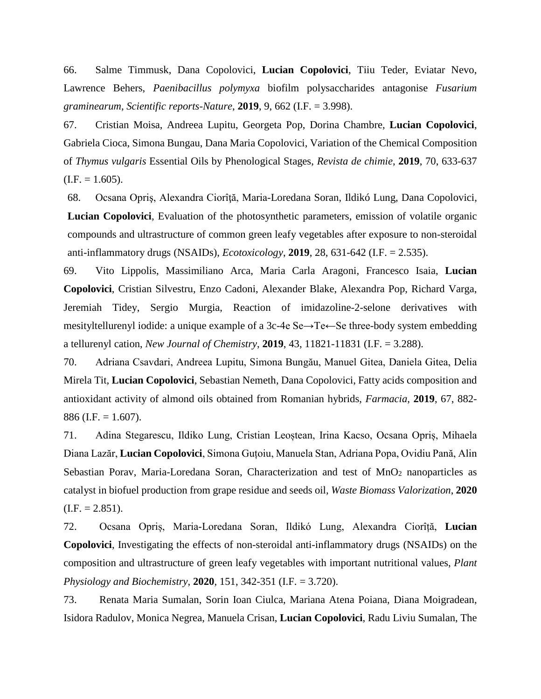66. Salme Timmusk, Dana Copolovici, **Lucian Copolovici**, Tiiu Teder, Eviatar Nevo, Lawrence Behers, *Paenibacillus polymyxa* biofilm polysaccharides antagonise *Fusarium graminearum*, *Scientific reports-Nature*, **2019**, 9, 662 (I.F. = 3.998).

67. Cristian Moisa, Andreea Lupitu, Georgeta Pop, Dorina Chambre, **Lucian Copolovici**, Gabriela Cioca, Simona Bungau, Dana Maria Copolovici, Variation of the Chemical Composition of *Thymus vulgaris* Essential Oils by Phenological Stages, *Revista de chimie*, **2019**, 70, 633-637  $(I.F. = 1.605).$ 

68. Ocsana Opriş, Alexandra Ciorîţă, Maria-Loredana Soran, Ildikó Lung, Dana Copolovici, **Lucian Copolovici**, Evaluation of the photosynthetic parameters, emission of volatile organic compounds and ultrastructure of common green leafy vegetables after exposure to non-steroidal anti-inflammatory drugs (NSAIDs), *Ecotoxicology*, **2019**, 28, 631-642 (I.F. = 2.535).

69. Vito Lippolis, Massimiliano Arca, Maria Carla Aragoni, Francesco Isaia, **Lucian Copolovici**, Cristian Silvestru, Enzo Cadoni, Alexander Blake, Alexandra Pop, Richard Varga, Jeremiah Tidey, Sergio Murgia, Reaction of imidazoline-2-selone derivatives with mesityltellurenyl iodide: a unique example of a 3c-4e Se→Te←Se three-body system embedding a tellurenyl cation, *New Journal of Chemistry*, **2019**, 43, 11821-11831 (I.F. = 3.288).

70. Adriana Csavdari, Andreea Lupitu, Simona Bungău, Manuel Gitea, Daniela Gitea, Delia Mirela Tit, **Lucian Copolovici**, Sebastian Nemeth, Dana Copolovici, Fatty acids composition and antioxidant activity of almond oils obtained from Romanian hybrids, *Farmacia*, **2019**, 67, 882- 886 (I.F.  $= 1.607$ ).

71. Adina Stegarescu, Ildiko Lung, Cristian Leoștean, Irina Kacso, Ocsana Opriș, Mihaela Diana Lazăr, **Lucian Copolovici**, Simona Guțoiu, Manuela Stan, Adriana Popa, Ovidiu Pană, Alin Sebastian Porav, Maria-Loredana Soran, Characterization and test of  $MnO<sub>2</sub>$  nanoparticles as catalyst in biofuel production from grape residue and seeds oil, *Waste Biomass Valorization*, **2020**  $(I.F. = 2.851).$ 

72. Ocsana Opriș, Maria-Loredana Soran, Ildikó Lung, Alexandra Ciorîță, **Lucian Copolovici**, Investigating the effects of non-steroidal anti-inflammatory drugs (NSAIDs) on the composition and ultrastructure of green leafy vegetables with important nutritional values, *Plant Physiology and Biochemistry*, **2020**, 151, 342-351 (I.F. = 3.720).

73. Renata Maria Sumalan, Sorin Ioan Ciulca, Mariana Atena Poiana, Diana Moigradean, Isidora Radulov, Monica Negrea, Manuela Crisan, **Lucian Copolovici**, Radu Liviu Sumalan, The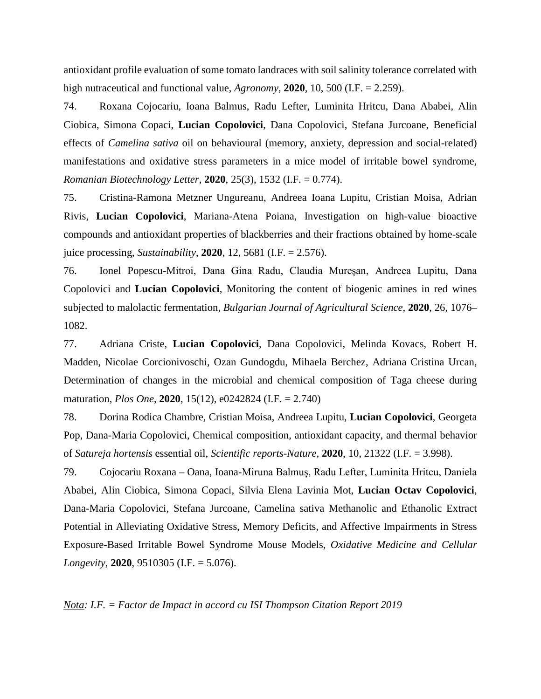antioxidant profile evaluation of some tomato landraces with soil salinity tolerance correlated with high nutraceutical and functional value, *Agronomy*, **2020**, 10, 500 (I.F. = 2.259).

74. Roxana Cojocariu, Ioana Balmus, Radu Lefter, Luminita Hritcu, Dana Ababei, Alin Ciobica, Simona Copaci, **Lucian Copolovici**, Dana Copolovici, Stefana Jurcoane, Beneficial effects of *Camelina sativa* oil on behavioural (memory, anxiety, depression and social-related) manifestations and oxidative stress parameters in a mice model of irritable bowel syndrome, *Romanian Biotechnology Letter*, **2020**, 25(3), 1532 (I.F. = 0.774).

75. Cristina-Ramona Metzner Ungureanu, Andreea Ioana Lupitu, Cristian Moisa, Adrian Rivis, **Lucian Copolovici**, Mariana-Atena Poiana, Investigation on high-value bioactive compounds and antioxidant properties of blackberries and their fractions obtained by home-scale juice processing, *Sustainability*, **2020**, 12, 5681 (I.F. = 2.576).

76. Ionel Popescu-Mitroi, Dana Gina Radu, Claudia Mureşan, Andreea Lupitu, Dana Copolovici and **Lucian Copolovici**, Monitoring the content of biogenic amines in red wines subjected to malolactic fermentation, *Bulgarian Journal of Agricultural Science*, **2020**, 26, 1076– 1082.

77. Adriana Criste, **Lucian Copolovici**, Dana Copolovici, Melinda Kovacs, Robert H. Madden, Nicolae Corcionivoschi, Ozan Gundogdu, Mihaela Berchez, Adriana Cristina Urcan, Determination of changes in the microbial and chemical composition of Taga cheese during maturation, *Plos One*, **2020**, 15(12), e0242824 (I.F. = 2.740)

78. Dorina Rodica Chambre, Cristian Moisa, Andreea Lupitu, **Lucian Copolovici**, Georgeta Pop, Dana-Maria Copolovici, Chemical composition, antioxidant capacity, and thermal behavior of *Satureja hortensis* essential oil, *Scientific reports-Nature*, **2020**, 10, 21322 (I.F. = 3.998).

79. Cojocariu Roxana – Oana, Ioana-Miruna Balmuș, Radu Lefter, Luminita Hritcu, Daniela Ababei, Alin Ciobica, Simona Copaci, Silvia Elena Lavinia Mot, **Lucian Octav Copolovici**, Dana-Maria Copolovici, Stefana Jurcoane, Camelina sativa Methanolic and Ethanolic Extract Potential in Alleviating Oxidative Stress, Memory Deficits, and Affective Impairments in Stress Exposure-Based Irritable Bowel Syndrome Mouse Models, *Oxidative Medicine and Cellular Longevity*, **2020**, 9510305 (I.F. = 5.076).

*Nota: I.F. = Factor de Impact in accord cu ISI Thompson Citation Report 2019*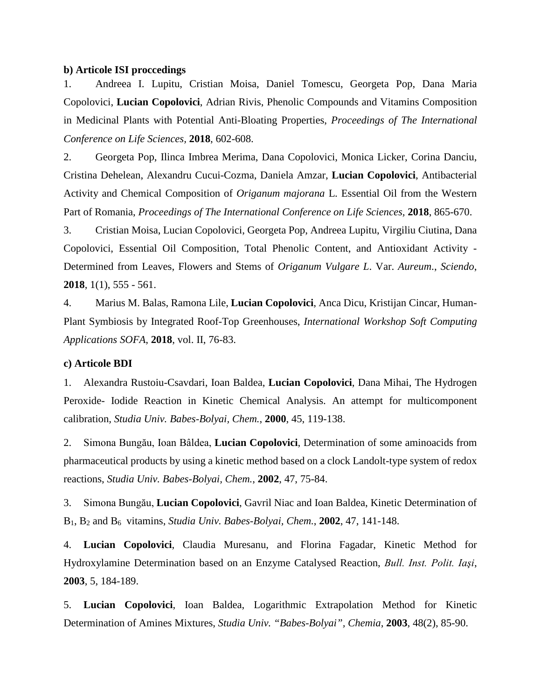#### **b) Articole ISI proccedings**

1. Andreea I. Lupitu, Cristian Moisa, Daniel Tomescu, Georgeta Pop, Dana Maria Copolovici, **Lucian Copolovici**, Adrian Rivis, Phenolic Compounds and Vitamins Composition in Medicinal Plants with Potential Anti-Bloating Properties, *Proceedings of The International Conference on Life Sciences,* **2018**, 602-608.

2. Georgeta Pop, Ilinca Imbrea Merima, Dana Copolovici, Monica Licker, Corina Danciu, Cristina Dehelean, Alexandru Cucui-Cozma, Daniela Amzar, **Lucian Copolovici**, Antibacterial Activity and Chemical Composition of *Origanum majorana* L. Essential Oil from the Western Part of Romania, *Proceedings of The International Conference on Life Sciences,* **2018**, 865-670.

3. Cristian Moisa, Lucian Copolovici, Georgeta Pop, Andreea Lupitu, Virgiliu Ciutina, Dana Copolovici, Essential Oil Composition, Total Phenolic Content, and Antioxidant Activity - Determined from Leaves, Flowers and Stems of *Origanum Vulgare L*. Var. *Aureum*., *Sciendo*, **2018**, 1(1), 555 - 561.

4. Marius M. Balas, Ramona Lile, **Lucian Copolovici**, Anca Dicu, Kristijan Cincar, Human-Plant Symbiosis by Integrated Roof-Top Greenhouses, *International Workshop Soft Computing Applications SOFA*, **2018**, vol. II, 76-83.

#### **c) Articole BDI**

1. Alexandra Rustoiu-Csavdari, Ioan Baldea, **Lucian Copolovici**, Dana Mihai, The Hydrogen Peroxide- Iodide Reaction in Kinetic Chemical Analysis. An attempt for multicomponent calibration*, Studia Univ. Babes-Bolyai, Chem.*, **2000**, 45, 119-138.

2. Simona Bungău, Ioan Bâldea, **Lucian Copolovici**, Determination of some aminoacids from pharmaceutical products by using a kinetic method based on a clock Landolt-type system of redox reactions, *Studia Univ. Babes-Bolyai, Chem.*, **2002**, 47, 75-84.

3. Simona Bungău, **Lucian Copolovici**, Gavril Niac and Ioan Baldea, Kinetic Determination of B1, B2 and B6 vitamins, *Studia Univ. Babes-Bolyai, Chem.*, **2002**, 47, 141-148.

4. **Lucian Copolovici**, Claudia Muresanu, and Florina Fagadar, Kinetic Method for Hydroxylamine Determination based on an Enzyme Catalysed Reaction, *Bull. Inst. Polit. Iaşi*, **2003**, 5, 184-189.

5. **Lucian Copolovici**, Ioan Baldea, Logarithmic Extrapolation Method for Kinetic Determination of Amines Mixtures, *Studia Univ. "Babes-Bolyai", Chemia*, **2003**, 48(2), 85-90.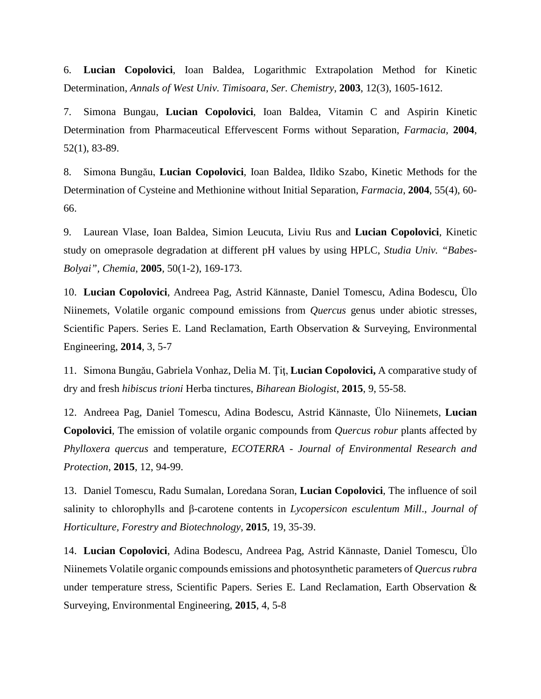6. **Lucian Copolovici**, Ioan Baldea, Logarithmic Extrapolation Method for Kinetic Determination, *Annals of West Univ. Timisoara, Ser. Chemistry*, **2003**, 12(3), 1605-1612.

7. Simona Bungau, **Lucian Copolovici**, Ioan Baldea, Vitamin C and Aspirin Kinetic Determination from Pharmaceutical Effervescent Forms without Separation, *Farmacia,* **2004**, 52(1), 83-89.

8. Simona Bungău, **Lucian Copolovici**, Ioan Baldea, Ildiko Szabo, Kinetic Methods for the Determination of Cysteine and Methionine without Initial Separation, *Farmacia*, **2004**, 55(4), 60- 66.

9. Laurean Vlase, Ioan Baldea, Simion Leucuta, Liviu Rus and **Lucian Copolovici**, Kinetic study on omeprasole degradation at different pH values by using HPLC, *Studia Univ. "Babes-Bolyai", Chemia*, **2005**, 50(1-2), 169-173.

10. **Lucian Copolovici**, Andreea Pag, Astrid Kännaste, Daniel Tomescu, Adina Bodescu, Ülo Niinemets, Volatile organic compound emissions from *Quercus* genus under abiotic stresses, Scientific Papers. Series E. Land Reclamation, Earth Observation & Surveying, Environmental Engineering, **2014**, 3, 5-7

11. Simona Bungǎu, Gabriela Vonhaz, Delia M. Ţiţ, **Lucian Copolovici,** A comparative study of dry and fresh *hibiscus trioni* Herba tinctures, *Biharean Biologist*, **2015**, 9, 55-58.

12. Andreea Pag, Daniel Tomescu, Adina Bodescu, Astrid Kännaste, Ülo Niinemets, **Lucian Copolovici**, The emission of volatile organic compounds from *Quercus robur* plants affected by *Phylloxera quercus* and temperature, *ECOTERRA - Journal of Environmental Research and Protection*, **2015**, 12, 94-99.

13. Daniel Tomescu, Radu Sumalan, Loredana Soran, **Lucian Copolovici**, The influence of soil salinity to chlorophylls and β-carotene contents in *Lycopersicon esculentum Mill*., *Journal of Horticulture, Forestry and Biotechnology*, **2015**, 19, 35-39.

14. **Lucian Copolovici**, Adina Bodescu, Andreea Pag, Astrid Kännaste, Daniel Tomescu, Ülo Niinemets Volatile organic compounds emissions and photosynthetic parameters of *Quercus rubra* under temperature stress, Scientific Papers. Series E. Land Reclamation, Earth Observation & Surveying, Environmental Engineering, **2015**, 4, 5-8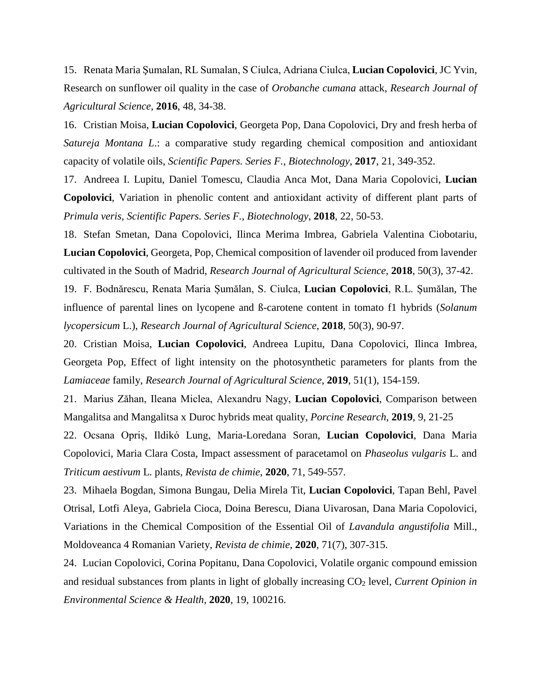15. Renata Maria Şumalan, RL Sumalan, S Ciulca, Adriana Ciulca, **Lucian Copolovici**, JC Yvin, Research on sunflower oil quality in the case of *Orobanche cumana* attack, *Research Journal of Agricultural Science*, **2016**, 48, 34-38.

16. Cristian Moisa, **Lucian Copolovici**, Georgeta Pop, Dana Copolovici, Dry and fresh herba of *Satureja Montana L*.: a comparative study regarding chemical composition and antioxidant capacity of volatile oils, *Scientific Papers. Series F.*, *Biotechnology*, **2017**, 21, 349-352.

17. Andreea I. Lupitu, Daniel Tomescu, Claudia Anca Mot, Dana Maria Copolovici, **Lucian Copolovici**, Variation in phenolic content and antioxidant activity of different plant parts of *Primula veris*, *Scientific Papers. Series F.*, *Biotechnology*, **2018**, 22, 50-53.

18. Stefan Smetan, Dana Copolovici, Ilinca Merima Imbrea, Gabriela Valentina Ciobotariu, **Lucian Copolovici**, Georgeta, Pop, Chemical composition of lavender oil produced from lavender cultivated in the South of Madrid, *Research Journal of Agricultural Science*, **2018**, 50(3), 37-42.

19. F. Bodnărescu, Renata Maria Șumălan, S. Ciulca, **Lucian Copolovici**, R.L. Șumălan, The influence of parental lines on lycopene and ß-carotene content in tomato f1 hybrids (*Solanum lycopersicum* L.), *Research Journal of Agricultural Science*, **2018**, 50(3), 90-97.

20. Cristian Moisa, **Lucian Copolovici**, Andreea Lupitu, Dana Copolovici, Ilinca Imbrea, Georgeta Pop, Effect of light intensity on the photosynthetic parameters for plants from the *Lamiaceae* family, *Research Journal of Agricultural Science*, **2019**, 51(1), 154-159.

21. Marius Zăhan, Ileana Miclea, Alexandru Nagy, **Lucian Copolovici**, Comparison between Mangalitsa and Mangalitsa x Duroc hybrids meat quality, *Porcine Research*, **2019**, 9, 21-25

22. Ocsana Opriș, Ildikó Lung, Maria-Loredana Soran, **Lucian Copolovici**, Dana Maria Copolovici, Maria Clara Costa, Impact assessment of paracetamol on *Phaseolus vulgaris* L. and *Triticum aestivum* L. plants, *Revista de chimie*, **2020**, 71, 549-557.

23. Mihaela Bogdan, Simona Bungau, Delia Mirela Tit, **Lucian Copolovici**, Tapan Behl, Pavel Otrisal, Lotfi Aleya, Gabriela Cioca, Doina Berescu, Diana Uivarosan, Dana Maria Copolovici, Variations in the Chemical Composition of the Essential Oil of *Lavandula angustifolia* Mill., Moldoveanca 4 Romanian Variety, *Revista de chimie*, **2020**, 71(7), 307-315.

24. Lucian Copolovici, Corina Popitanu, Dana Copolovici, Volatile organic compound emission and residual substances from plants in light of globally increasing  $CO<sub>2</sub>$  level, *Current Opinion in Environmental Science & Health*, **2020**, 19, 100216.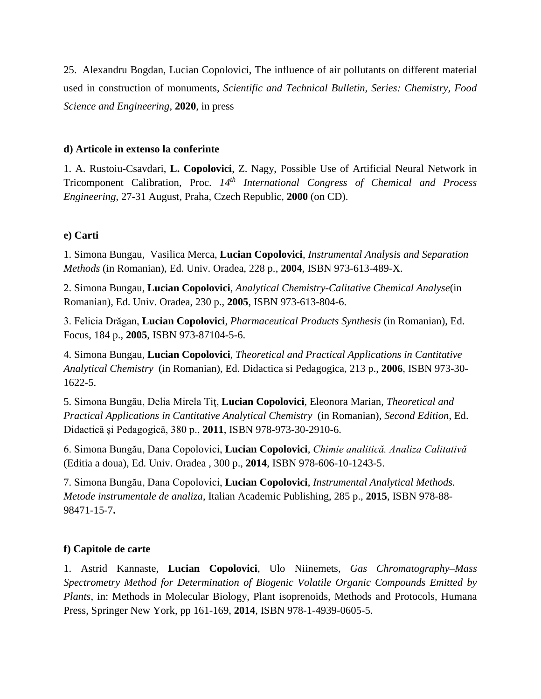25. Alexandru Bogdan, Lucian Copolovici, The influence of air pollutants on different material used in construction of monuments, *Scientific and Technical Bulletin, Series: Chemistry, Food Science and Engineering*, **2020**, in press

#### **d) Articole in extenso la conferinte**

1. A. Rustoiu-Csavdari, **L. Copolovici**, Z. Nagy, Possible Use of Artificial Neural Network in Tricomponent Calibration, Proc. *14th International Congress of Chemical and Process Engineering*, 27-31 August, Praha, Czech Republic, **2000** (on CD).

### **e) Carti**

1. Simona Bungau, Vasilica Merca, **Lucian Copolovici**, *Instrumental Analysis and Separation Methods* (in Romanian), Ed. Univ. Oradea, 228 p., **2004**, ISBN 973-613-489-X.

2. Simona Bungau, **Lucian Copolovici**, *Analytical Chemistry-Calitative Chemical Analyse*(in Romanian), Ed. Univ. Oradea, 230 p., **2005**, ISBN 973-613-804-6.

3. Felicia Drăgan, **Lucian Copolovici**, *Pharmaceutical Products Synthesis* (in Romanian), Ed. Focus, 184 p., **2005**, ISBN 973-87104-5-6.

4. Simona Bungau, **Lucian Copolovici**, *Theoretical and Practical Applications in Cantitative Analytical Chemistry* (in Romanian), Ed. Didactica si Pedagogica, 213 p., **2006**, ISBN 973-30- 1622-5.

5. Simona Bungău, Delia Mirela Tiţ, **Lucian Copolovici**, Eleonora Marian, *Theoretical and Practical Applications in Cantitative Analytical Chemistry* (in Romanian)*, Second Edition*, Ed. Didactică şi Pedagogică, 380 p., **2011**, ISBN 978-973-30-2910-6.

6. Simona Bungău, Dana Copolovici, **Lucian Copolovici**, *Chimie analiticǎ. Analiza Calitativǎ* (Editia a doua), Ed. Univ. Oradea , 300 p., **2014**, ISBN 978-606-10-1243-5.

7. Simona Bungău, Dana Copolovici, **Lucian Copolovici**, *Instrumental Analytical Methods. Metode instrumentale de analiza*, Italian Academic Publishing, 285 p., **2015**, ISBN 978-88- 98471-15-7**.**

### **f) Capitole de carte**

1. Astrid Kannaste, **Lucian Copolovici**, Ulo Niinemets, *Gas Chromatography–Mass Spectrometry Method for Determination of Biogenic Volatile Organic Compounds Emitted by Plants*, in: Methods in Molecular Biology, Plant isoprenoids, Methods and Protocols, Humana Press, Springer New York, pp 161-169, **2014**, ISBN 978-1-4939-0605-5.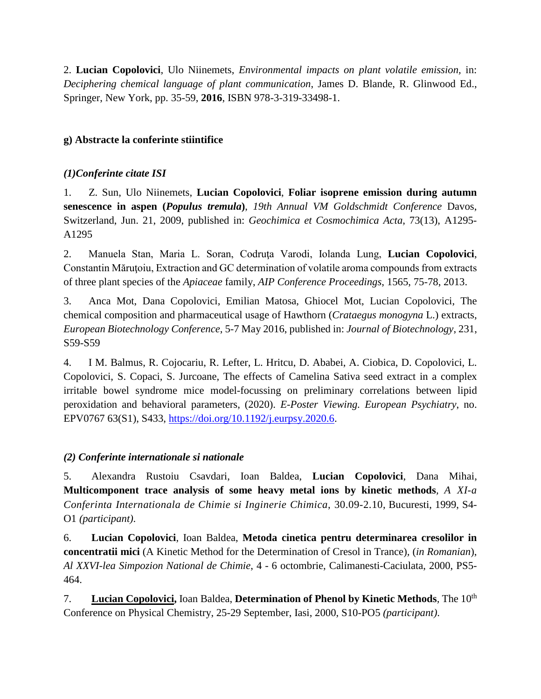2. **Lucian Copolovici**, Ulo Niinemets, *Environmental impacts on plant volatile emission,* in: *Deciphering chemical language of plant communication*, James D. Blande, R. Glinwood Ed., Springer, New York, pp. 35-59, **2016**, ISBN 978-3-319-33498-1.

## **g) Abstracte la conferinte stiintifice**

### *(1)Conferinte citate ISI*

1. Z. Sun, Ulo Niinemets, **Lucian Copolovici**, **Foliar isoprene emission during autumn senescence in aspen (***Populus tremula***)**, *19th Annual VM Goldschmidt Conference* Davos, Switzerland, Jun. 21, 2009, published in: *Geochimica et Cosmochimica Acta*, 73(13), A1295- A1295

2. Manuela Stan, Maria L. Soran, Codruţa Varodi, Iolanda Lung, **Lucian Copolovici**, Constantin Măruțoiu, Extraction and GC determination of volatile aroma compounds from extracts of three plant species of the *Apiaceae* family, *AIP Conference Proceedings*, 1565, 75-78, 2013.

3. Anca Mot, Dana Copolovici, Emilian Matosa, Ghiocel Mot, Lucian Copolovici, The chemical composition and pharmaceutical usage of Hawthorn (*Crataegus monogyna* L.) extracts, *European Biotechnology Conference*, 5-7 May 2016, published in: *Journal of Biotechnology*, 231, S59-S59

4. I M. Balmus, R. Cojocariu, R. Lefter, L. Hritcu, D. Ababei, A. Ciobica, D. Copolovici, L. Copolovici, S. Copaci, S. Jurcoane, The effects of Camelina Sativa seed extract in a complex irritable bowel syndrome mice model-focussing on preliminary correlations between lipid peroxidation and behavioral parameters, (2020). *E-Poster Viewing. European Psychiatry*, no. EPV0767 63(S1), S433, [https://doi.org/10.1192/j.eurpsy.2020.6.](https://doi.org/10.1192/j.eurpsy.2020.6)

### *(2) Conferinte internationale si nationale*

5. Alexandra Rustoiu Csavdari, Ioan Baldea, **Lucian Copolovici**, Dana Mihai, **Multicomponent trace analysis of some heavy metal ions by kinetic methods***, A XI-a Conferinta Internationala de Chimie si Inginerie Chimica*, 30.09-2.10, Bucuresti, 1999, S4- O1 *(participant)*.

6. **Lucian Copolovici**, Ioan Baldea, **Metoda cinetica pentru determinarea cresolilor in concentratii mici** (A Kinetic Method for the Determination of Cresol in Trance)*,* (*in Romanian*), *Al XXVI-lea Simpozion National de Chimie*, 4 - 6 octombrie, Calimanesti-Caciulata, 2000, PS5- 464.

7. **Lucian Copolovici,** Ioan Baldea, **Determination of Phenol by Kinetic Methods***,* The 10th Conference on Physical Chemistry, 25-29 September, Iasi, 2000, S10-PO5 *(participant)*.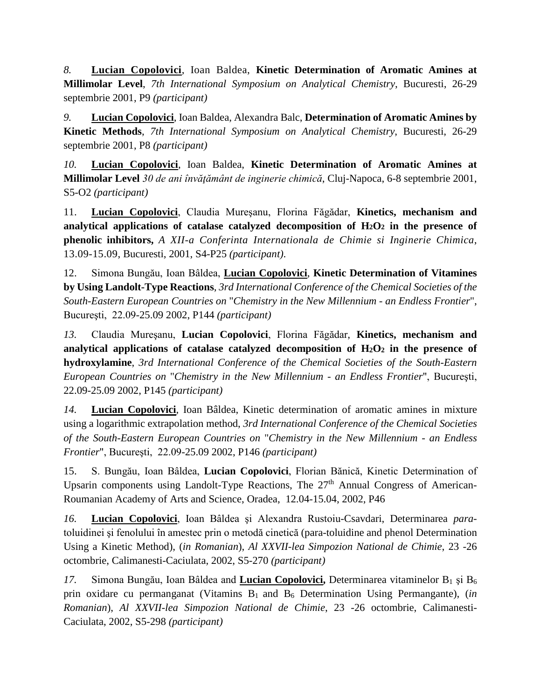*8.* **Lucian Copolovici**, Ioan Baldea, **Kinetic Determination of Aromatic Amines at Millimolar Level**, *7th International Symposium on Analytical Chemistry*, Bucuresti, 26-29 septembrie 2001, P9 *(participant)*

*9.* **Lucian Copolovici**, Ioan Baldea, Alexandra Balc, **Determination of Aromatic Amines by Kinetic Methods**, *7th International Symposium on Analytical Chemistry*, Bucuresti, 26-29 septembrie 2001, P8 *(participant)*

*10.* **Lucian Copolovici**, Ioan Baldea, **Kinetic Determination of Aromatic Amines at Millimolar Level** *30 de ani învăţământ de inginerie chimică*, Cluj-Napoca, 6-8 septembrie 2001, S5-O2 *(participant)*

11. **Lucian Copolovici**, Claudia Mureşanu, Florina Făgădar, **Kinetics, mechanism and analytical applications of catalase catalyzed decomposition of H2O2 in the presence of phenolic inhibitors,** *A XII-a Conferinta Internationala de Chimie si Inginerie Chimica*, 13.09-15.09, Bucuresti, 2001, S4-P25 *(participant)*.

12. Simona Bungău, Ioan Bâldea, **Lucian Copolovici**, **Kinetic Determination of Vitamines by Using Landolt-Type Reactions**, *3rd International Conference of the Chemical Societies of the South-Eastern European Countries on* "*Chemistry in the New Millennium - an Endless Frontier*", Bucureşti, 22.09-25.09 2002, P144 *(participant)*

*13.* Claudia Mureşanu, **Lucian Copolovici**, Florina Făgădar, **Kinetics, mechanism and**  analytical applications of catalase catalyzed decomposition of  $H_2O_2$  in the presence of **hydroxylamine**, *3rd International Conference of the Chemical Societies of the South-Eastern European Countries on* "*Chemistry in the New Millennium - an Endless Frontier*", Bucureşti, 22.09-25.09 2002, P145 *(participant)*

*14.* **Lucian Copolovici**, Ioan Bâldea, Kinetic determination of aromatic amines in mixture using a logarithmic extrapolation method, *3rd International Conference of the Chemical Societies of the South-Eastern European Countries on* "*Chemistry in the New Millennium - an Endless Frontier*", Bucureşti, 22.09-25.09 2002, P146 *(participant)*

15. S. Bungău, Ioan Bâldea, **Lucian Copolovici**, Florian Bănică, Kinetic Determination of Upsarin components using Landolt-Type Reactions, The  $27<sup>th</sup>$  Annual Congress of American-Roumanian Academy of Arts and Science, Oradea, 12.04-15.04, 2002, P46

*16.* **Lucian Copolovici**, Ioan Bâldea şi Alexandra Rustoiu-Csavdari, Determinarea *para*toluidinei şi fenolului în amestec prin o metodă cinetică (para-toluidine and phenol Determination Using a Kinetic Method), (*in Romanian*), *Al XXVII-lea Simpozion National de Chimie*, 23 -26 octombrie, Calimanesti-Caciulata, 2002, S5-270 *(participant)*

17. Simona Bungău, Ioan Bâldea and **Lucian Copolovici**, Determinarea vitaminelor  $B_1$  și  $B_6$ prin oxidare cu permanganat (Vitamins  $B_1$  and  $B_6$  Determination Using Permangante), *(in Romanian*), *Al XXVII-lea Simpozion National de Chimie*, 23 -26 octombrie, Calimanesti-Caciulata, 2002, S5-298 *(participant)*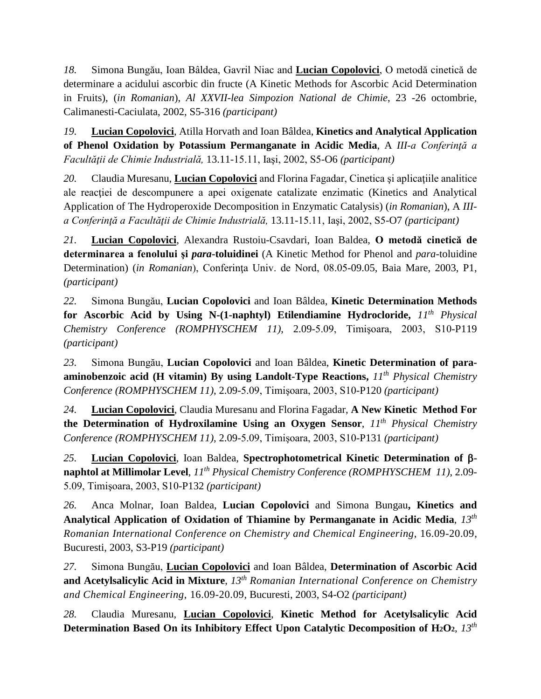*18.* Simona Bungău, Ioan Bâldea, Gavril Niac and **Lucian Copolovici**, O metodă cinetică de determinare a acidului ascorbic din fructe (A Kinetic Methods for Ascorbic Acid Determination in Fruits), (*in Romanian*), *Al XXVII-lea Simpozion National de Chimie*, 23 -26 octombrie, Calimanesti-Caciulata, 2002, S5-316 *(participant)*

*19.* **Lucian Copolovici**, Atilla Horvath and Ioan Bâldea, **Kinetics and Analytical Application of Phenol Oxidation by Potassium Permanganate in Acidic Media**, A *III-a Conferinţă a Facultăţii de Chimie Industrială,* 13.11-15.11, Iaşi, 2002, S5-O6 *(participant)*

*20.* Claudia Muresanu, **Lucian Copolovici** and Florina Fagadar, Cinetica şi aplicaţiile analitice ale reactiei de descompunere a apei oxigenate catalizate enzimatic (Kinetics and Analytical Application of The Hydroperoxide Decomposition in Enzymatic Catalysis) (*in Romanian*), A *IIIa Conferinţă a Facultăţii de Chimie Industrială,* 13.11-15.11, Iaşi, 2002, S5-O7 *(participant)*

*21.* **Lucian Copolovici**, Alexandra Rustoiu-Csavdari, Ioan Baldea, **O metodă cinetică de determinarea a fenolului şi** *para***-toluidinei** (A Kinetic Method for Phenol and *para*-toluidine Determination) (*in Romanian*), Conferința Univ. de Nord, 08.05-09.05, Baia Mare, 2003, P1, *(participant)*

*22.* Simona Bungău, **Lucian Copolovici** and Ioan Bâldea, **Kinetic Determination Methods for Ascorbic Acid by Using N-(1-naphtyl) Etilendiamine Hydrocloride,** *11th Physical Chemistry Conference (ROMPHYSCHEM 11)*, 2.09-5.09, Timişoara, 2003, S10-P119 *(participant)*

*23.* Simona Bungău, **Lucian Copolovici** and Ioan Bâldea, **Kinetic Determination of paraaminobenzoic acid (H vitamin) By using Landolt-Type Reactions,** *11th Physical Chemistry Conference (ROMPHYSCHEM 11)*, 2.09-5.09, Timişoara, 2003, S10-P120 *(participant)*

*24.* **Lucian Copolovici**, Claudia Muresanu and Florina Fagadar, **A New Kinetic Method For the Determination of Hydroxilamine Using an Oxygen Sensor**, *11th Physical Chemistry Conference (ROMPHYSCHEM 11)*, 2.09-5.09, Timişoara, 2003, S10-P131 *(participant)*

*25.* **Lucian Copolovici**, Ioan Baldea, **Spectrophotometrical Kinetic Determination of** β**naphtol at Millimolar Level**, *11th Physical Chemistry Conference (ROMPHYSCHEM 11)*, 2.09- 5.09, Timişoara, 2003, S10-P132 *(participant)*

*26.* Anca Molnar, Ioan Baldea, **Lucian Copolovici** and Simona Bungau**, Kinetics and Analytical Application of Oxidation of Thiamine by Permanganate in Acidic Media**, *13th Romanian International Conference on Chemistry and Chemical Engineering*, 16.09-20.09, Bucuresti, 2003, S3-P19 *(participant)*

*27.* Simona Bungău, **Lucian Copolovici** and Ioan Bâldea, **Determination of Ascorbic Acid and Acetylsalicylic Acid in Mixture**, *13th Romanian International Conference on Chemistry and Chemical Engineering*, 16.09-20.09, Bucuresti, 2003, S4-O2 *(participant)*

*28.* Claudia Muresanu, **Lucian Copolovici**, **Kinetic Method for Acetylsalicylic Acid Determination Based On its Inhibitory Effect Upon Catalytic Decomposition of H2O2**, *13th*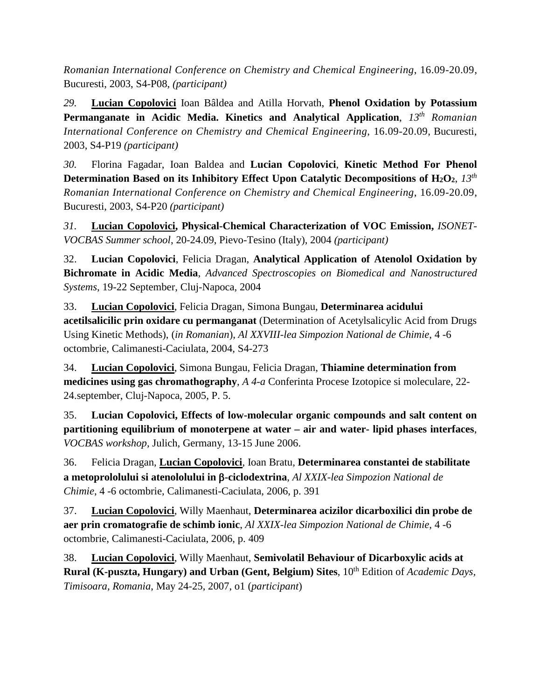*Romanian International Conference on Chemistry and Chemical Engineering*, 16.09-20.09, Bucuresti, 2003, S4-P08, *(participant)*

*29.* **Lucian Copolovici** Ioan Bâldea and Atilla Horvath, **Phenol Oxidation by Potassium Permanganate in Acidic Media. Kinetics and Analytical Application**, *13th Romanian International Conference on Chemistry and Chemical Engineering*, 16.09-20.09, Bucuresti, 2003, S4-P19 *(participant)*

*30.* Florina Fagadar, Ioan Baldea and **Lucian Copolovici**, **Kinetic Method For Phenol Determination Based on its Inhibitory Effect Upon Catalytic Decompositions of H2O2**, *13th Romanian International Conference on Chemistry and Chemical Engineering*, 16.09-20.09, Bucuresti, 2003, S4-P20 *(participant)*

*31.* **Lucian Copolovici, Physical-Chemical Characterization of VOC Emission,** *ISONET-VOCBAS Summer school*, 20-24.09, Pievo-Tesino (Italy), 2004 *(participant)*

32. **Lucian Copolovici**, Felicia Dragan, **Analytical Application of Atenolol Oxidation by Bichromate in Acidic Media**, *Advanced Spectroscopies on Biomedical and Nanostructured Systems*, 19-22 September, Cluj-Napoca, 2004

33. **Lucian Copolovici**, Felicia Dragan, Simona Bungau, **Determinarea acidului acetilsalicilic prin oxidare cu permanganat** (Determination of Acetylsalicylic Acid from Drugs Using Kinetic Methods), (*in Romanian*), *Al XXVIII-lea Simpozion National de Chimie*, 4 -6 octombrie, Calimanesti-Caciulata, 2004, S4-273

34. **Lucian Copolovici**, Simona Bungau, Felicia Dragan, **Thiamine determination from medicines using gas chromathography**, *A 4-a* Conferinta Procese Izotopice si moleculare, 22- 24.september, Cluj-Napoca, 2005, P. 5.

35. **Lucian Copolovici, Effects of low-molecular organic compounds and salt content on partitioning equilibrium of monoterpene at water – air and water- lipid phases interfaces**, *VOCBAS workshop,* Julich, Germany, 13-15 June 2006.

36. Felicia Dragan, **Lucian Copolovici**, Ioan Bratu, **Determinarea constantei de stabilitate a metoprololului si atenololului in** β**-ciclodextrina**, *Al XXIX-lea Simpozion National de Chimie*, 4 -6 octombrie, Calimanesti-Caciulata, 2006, p. 391

37. **Lucian Copolovici**, Willy Maenhaut, **Determinarea acizilor dicarboxilici din probe de aer prin cromatografie de schimb ionic**, *Al XXIX-lea Simpozion National de Chimie*, 4 -6 octombrie, Calimanesti-Caciulata, 2006, p. 409

38. **Lucian Copolovici**, Willy Maenhaut, **Semivolatil Behaviour of Dicarboxylic acids at Rural (K-puszta, Hungary) and Urban (Gent, Belgium) Sites**, 10<sup>th</sup> Edition of *Academic Days, Timisoara, Romania*, May 24-25, 2007, o1 (*participant*)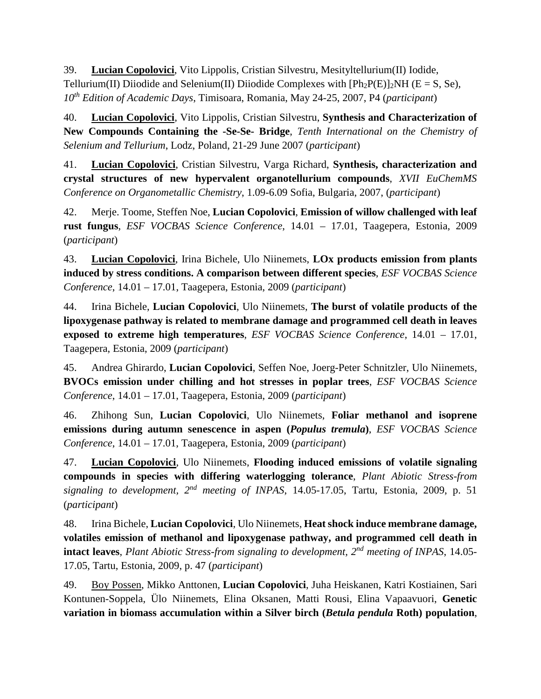39. **Lucian Copolovici**, Vito Lippolis, Cristian Silvestru, Mesityltellurium(II) Iodide, Tellurium(II) Diiodide and Selenium(II) Diiodide Complexes with  $[Ph_2P(E)]_2NH$  (E = S, Se), *10th Edition of Academic Days*, Timisoara, Romania, May 24-25, 2007, P4 (*participant*)

40. **Lucian Copolovici**, Vito Lippolis, Cristian Silvestru, **Synthesis and Characterization of New Compounds Containing the -Se-Se- Bridge**, *Tenth International on the Chemistry of Selenium and Tellurium*, Lodz, Poland, 21-29 June 2007 (*participant*)

41. **Lucian Copolovici**, Cristian Silvestru, Varga Richard, **Synthesis, characterization and crystal structures of new hypervalent organotellurium compounds**, *XVII EuChemMS Conference on Organometallic Chemistry*, 1.09-6.09 Sofia, Bulgaria, 2007, (*participant*)

42. Merje. Toome, Steffen Noe, **Lucian Copolovici**, **Emission of willow challenged with leaf rust fungus**, *ESF VOCBAS Science Conference*, 14.01 – 17.01, Taagepera, Estonia, 2009 (*participant*)

43. **Lucian Copolovici**, Irina Bichele, Ulo Niinemets, **LOx products emission from plants induced by stress conditions. A comparison between different species**, *ESF VOCBAS Science Conference*, 14.01 – 17.01, Taagepera, Estonia, 2009 (*participant*)

44. Irina Bichele, **Lucian Copolovici**, Ulo Niinemets, **The burst of volatile products of the lipoxygenase pathway is related to membrane damage and programmed cell death in leaves exposed to extreme high temperatures**, *ESF VOCBAS Science Conference*, 14.01 – 17.01, Taagepera, Estonia, 2009 (*participant*)

45. Andrea Ghirardo, **Lucian Copolovici**, Seffen Noe, Joerg-Peter Schnitzler, Ulo Niinemets, **BVOCs emission under chilling and hot stresses in poplar trees**, *ESF VOCBAS Science Conference*, 14.01 – 17.01, Taagepera, Estonia, 2009 (*participant*)

46. Zhihong Sun, **Lucian Copolovici**, Ulo Niinemets, **Foliar methanol and isoprene emissions during autumn senescence in aspen (***Populus tremula***)**, *ESF VOCBAS Science Conference*, 14.01 – 17.01, Taagepera, Estonia, 2009 (*participant*)

47. **Lucian Copolovici**, Ulo Niinemets, **Flooding induced emissions of volatile signaling compounds in species with differing waterlogging tolerance**, *Plant Abiotic Stress-from signaling to development, 2nd meeting of INPAS*, 14.05-17.05, Tartu, Estonia, 2009, p. 51 (*participant*)

48. Irina Bichele, **Lucian Copolovici**, Ulo Niinemets, **Heat shock induce membrane damage, volatiles emission of methanol and lipoxygenase pathway, and programmed cell death in intact leaves**, *Plant Abiotic Stress-from signaling to development, 2nd meeting of INPAS*, 14.05- 17.05, Tartu, Estonia, 2009, p. 47 (*participant*)

49. [Boy Possen,](http://fi.linkedin.com/pub/boy-possen/11/877/333) Mikko Anttonen, **Lucian Copolovici**, Juha Heiskanen, Katri Kostiainen, Sari Kontunen-Soppela, Ülo Niinemets, Elina Oksanen, Matti Rousi, Elina Vapaavuori, **Genetic variation in biomass accumulation within a Silver birch (***Betula pendula* **Roth) population**,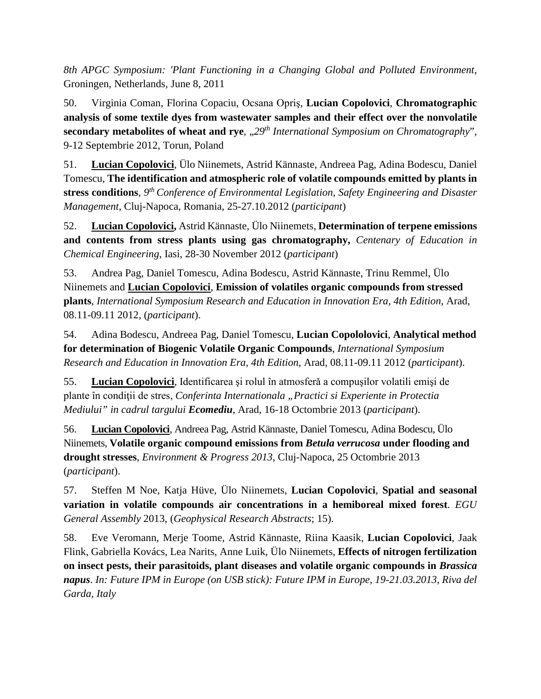*8th APGC Symposium: 'Plant Functioning in a Changing Global and Polluted Environment*, Groningen, Netherlands, June 8, 2011

50. Virginia Coman, Florina Copaciu, Ocsana Opriş, **Lucian Copolovici**, **Chromatographic analysis of some textile dyes from wastewater samples and their effect over the nonvolatile secondary metabolites of wheat and rye**,  $0.29<sup>th</sup> International Symposium on Chromatography$ ", 9-12 Septembrie 2012, Torun, Poland

51. **Lucian Copolovici**, Ülo Niinemets, Astrid Kännaste, Andreea Pag, Adina Bodescu, Daniel Tomescu, **The identification and atmospheric role of volatile compounds emitted by plants in stress conditions**, *9th Conference of Environmental Legislation, Safety Engineering and Disaster Management*, Cluj-Napoca, Romania, 25-27.10.2012 (*participant*)

52. **Lucian Copolovici,** Astrid Kännaste, Ülo Niinemets, **Determination of terpene emissions and contents from stress plants using gas chromatography,** *Centenary of Education in Chemical Engineering*, Iasi, 28-30 November 2012 (*participant*)

53. Andrea Pag, Daniel Tomescu, Adina Bodescu, Astrid Kännaste, Trinu Remmel, Ülo Niinemets and **Lucian Copolovici**, **Emission of volatiles organic compounds from stressed plants**, *International Symposium Research and Education in Innovation Era, 4th Edition*, Arad, 08.11-09.11 2012, (*participant*).

54. Adina Bodescu, Andreea Pag, Daniel Tomescu, **Lucian Copololovici**, **Analytical method for determination of Biogenic Volatile Organic Compounds**, *International Symposium Research and Education in Innovation Era, 4th Edition*, Arad, 08.11-09.11 2012 (*participant*).

55. **Lucian Copolovici**, Identificarea şi rolul în atmosferǎ a compuşilor volatili emişi de plante în condiții de stres, *Conferinta Internationala* "Practici si Experiente in Protectia *Mediului" in cadrul targului Ecomediu*, Arad, 16-18 Octombrie 2013 (*participant*).

56. **Lucian Copolovici**, Andreea Pag, Astrid Kännaste, Daniel Tomescu, Adina Bodescu, Ülo Niinemets, **Volatile organic compound emissions from** *Betula verrucosa* **under flooding and drought stresses**, *Environment & Progress 2013*, Cluj-Napoca, 25 Octombrie 2013 (*participant*).

57. Steffen M Noe, Katja Hüve, Ülo Niinemets, **Lucian Copolovici**, **Spatial and seasonal variation in volatile compounds air concentrations in a hemiboreal mixed forest**. *EGU General Assembly* 2013, (*Geophysical Research Abstracts*; 15).

58. Eve Veromann, Merje Toome, Astrid Kännaste, Riina Kaasik, **Lucian Copolovici**, Jaak Flink, Gabriella Kovács, Lea Narits, Anne Luik, Ülo Niinemets, **Effects of nitrogen fertilization on insect pests, their parasitoids, plant diseases and volatile organic compounds in** *Brassica napus*. *In: Future IPM in Europe (on USB stick): Future IPM in Europe, 19-21.03.2013, Riva del Garda, Italy*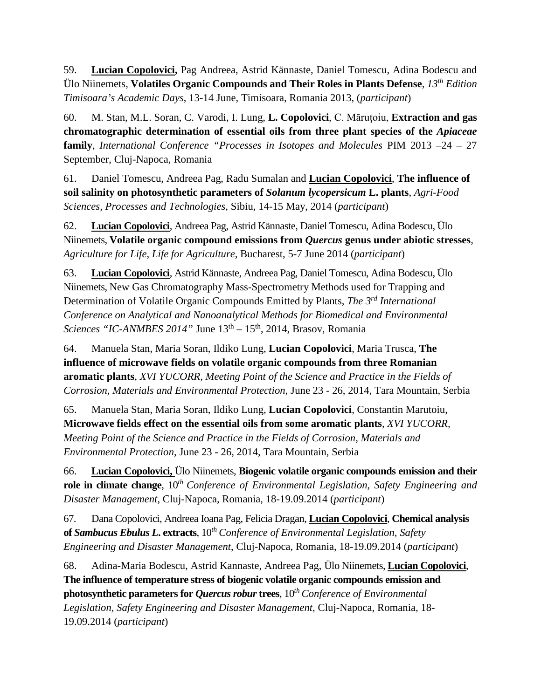59. **Lucian Copolovici,** Pag Andreea, Astrid Kännaste, Daniel Tomescu, Adina Bodescu and Ülo Niinemets, **Volatiles Organic Compounds and Their Roles in Plants Defense**, *13th Edition Timisoara's Academic Days*, 13-14 June, Timisoara, Romania 2013, (*participant*)

60. M. Stan, M.L. Soran, C. Varodi, I. Lung, **L. Copolovici**, C. Măruţoiu, **Extraction and gas chromatographic determination of essential oils from three plant species of the** *Apiaceae* **family**, *International Conference "Processes in Isotopes and Molecules* PIM 2013 –24 – 27 September, Cluj-Napoca, Romania

61. Daniel Tomescu, Andreea Pag, Radu Sumalan and **Lucian Copolovici**, **The influence of soil salinity on photosynthetic parameters of** *Solanum lycopersicum* **L. plants**, *Agri-Food Sciences, Processes and Technologies*, Sibiu, 14-15 May, 2014 (*participant*)

62. **Lucian Copolovici**, Andreea Pag, Astrid Kännaste, Daniel Tomescu, Adina Bodescu, Ülo Niinemets, **Volatile organic compound emissions from** *Quercus* **genus under abiotic stresses**, *Agriculture for Life, Life for Agriculture,* Bucharest, 5-7 June 2014 (*participant*)

63. **Lucian Copolovici**, Astrid Kännaste, Andreea Pag, Daniel Tomescu, Adina Bodescu, Ülo Niinemets, New Gas Chromatography Mass-Spectrometry Methods used for Trapping and Determination of Volatile Organic Compounds Emitted by Plants, *The 3rd International Conference on Analytical and Nanoanalytical Methods for Biomedical and Environmental Sciences "IC-ANMBES 2014"* June  $13<sup>th</sup> - 15<sup>th</sup>$ , 2014, Brasov, Romania

64. Manuela Stan, Maria Soran, Ildiko Lung, **Lucian Copolovici**, Maria Trusca, **The influence of microwave fields on volatile organic compounds from three Romanian aromatic plants**, *XVI YUCORR, Meeting Point of the Science and Practice in the Fields of Corrosion, Materials and Environmental Protection*, June 23 - 26, 2014, Tara Mountain, Serbia

65. Manuela Stan, Maria Soran, Ildiko Lung, **Lucian Copolovici**, Constantin Marutoiu, **Microwave fields effect on the essential oils from some aromatic plants**, *XVI YUCORR, Meeting Point of the Science and Practice in the Fields of Corrosion, Materials and Environmental Protection*, June 23 - 26, 2014, Tara Mountain, Serbia

66. **Lucian Copolovici,** Ülo Niinemets, **Biogenic volatile organic compounds emission and their role in climate change**, 10*th Conference of Environmental Legislation, Safety Engineering and Disaster Management*, Cluj-Napoca, Romania, 18-19.09.2014 (*participant*)

67. Dana Copolovici, Andreea Ioana Pag, Felicia Dragan, **Lucian Copolovici**, **Chemical analysis of** *Sambucus Ebulus L***. extracts**, 10*th Conference of Environmental Legislation, Safety Engineering and Disaster Management*, Cluj-Napoca, Romania, 18-19.09.2014 (*participant*)

68. Adina-Maria Bodescu, Astrid Kannaste, Andreea Pag, Ülo Niinemets, **Lucian Copolovici**, **The influence of temperature stress of biogenic volatile organic compounds emission and photosynthetic parameters for** *Quercus robur* **trees**, 10*th Conference of Environmental Legislation, Safety Engineering and Disaster Management*, Cluj-Napoca, Romania, 18- 19.09.2014 (*participant*)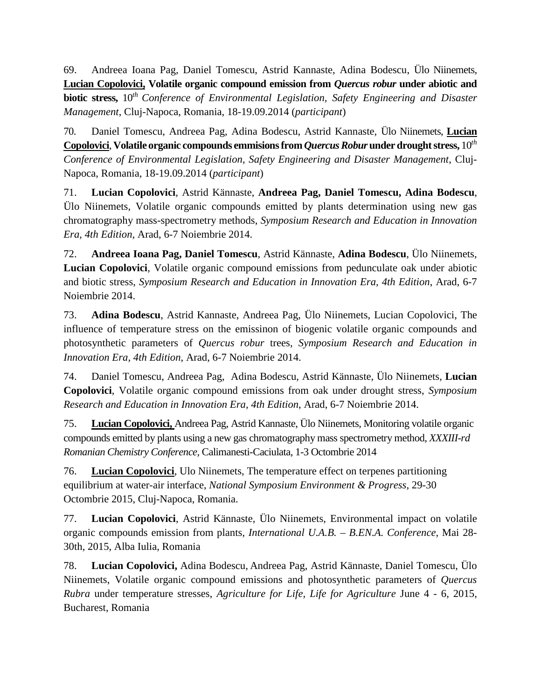69. Andreea Ioana Pag, Daniel Tomescu, Astrid Kannaste, Adina Bodescu, Ülo Niinemets, **Lucian Copolovici, Volatile organic compound emission from** *Quercus robur* **under abiotic and biotic stress,** 10*th Conference of Environmental Legislation, Safety Engineering and Disaster Management*, Cluj-Napoca, Romania, 18-19.09.2014 (*participant*)

70. Daniel Tomescu, Andreea Pag, Adina Bodescu, Astrid Kannaste, Ülo Niinemets, **Lucian Copolovici**, **Volatile organic compounds emmisions from** *Quercus Robur* **under drought stress,** 10*th Conference of Environmental Legislation, Safety Engineering and Disaster Management*, Cluj-Napoca, Romania, 18-19.09.2014 (*participant*)

71. **Lucian Copolovici**, Astrid Kännaste, **Andreea Pag, Daniel Tomescu, Adina Bodescu**, Ülo Niinemets, Volatile organic compounds emitted by plants determination using new gas chromatography mass-spectrometry methods, *Symposium Research and Education in Innovation Era, 4th Edition*, Arad, 6-7 Noiembrie 2014.

72. **Andreea Ioana Pag, Daniel Tomescu**, Astrid Kännaste, **Adina Bodescu**, Ülo Niinemets, **Lucian Copolovici**, Volatile organic compound emissions from pedunculate oak under abiotic and biotic stress, *Symposium Research and Education in Innovation Era, 4th Edition*, Arad, 6-7 Noiembrie 2014.

73. **Adina Bodescu**, Astrid Kannaste, Andreea Pag, Ülo Niinemets, Lucian Copolovici, The influence of temperature stress on the emissinon of biogenic volatile organic compounds and photosynthetic parameters of *Quercus robur* trees, *Symposium Research and Education in Innovation Era, 4th Edition*, Arad, 6-7 Noiembrie 2014.

74. Daniel Tomescu, Andreea Pag, Adina Bodescu, Astrid Kännaste, Ülo Niinemets, **Lucian Copolovici**, Volatile organic compound emissions from oak under drought stress, *Symposium Research and Education in Innovation Era, 4th Edition*, Arad, 6-7 Noiembrie 2014.

75. **Lucian Copolovici,** Andreea Pag, Astrid Kannaste, Ülo Niinemets, Monitoring volatile organic compounds emitted by plants using a new gas chromatography mass spectrometry method, *XXXIII-rd Romanian Chemistry Conference,* Calimanesti-Caciulata, 1-3 Octombrie 2014

76. **Lucian Copolovici**, Ulo Niinemets, The temperature effect on terpenes partitioning equilibrium at water-air interface, *National Symposium Environment & Progress*, 29-30 Octombrie 2015, Cluj-Napoca, Romania.

77. **Lucian Copolovici**, Astrid Kännaste, Ülo Niinemets, Environmental impact on volatile organic compounds emission from plants, *International U.A.B. – B.EN.A. Conference*, Mai 28- 30th, 2015, Alba Iulia, Romania

78. **Lucian Copolovici,** Adina Bodescu, Andreea Pag, Astrid Kännaste, Daniel Tomescu, Ülo Niinemets, Volatile organic compound emissions and photosynthetic parameters of *Quercus Rubra* under temperature stresses, *Agriculture for Life, Life for Agriculture* June 4 - 6, 2015, Bucharest, Romania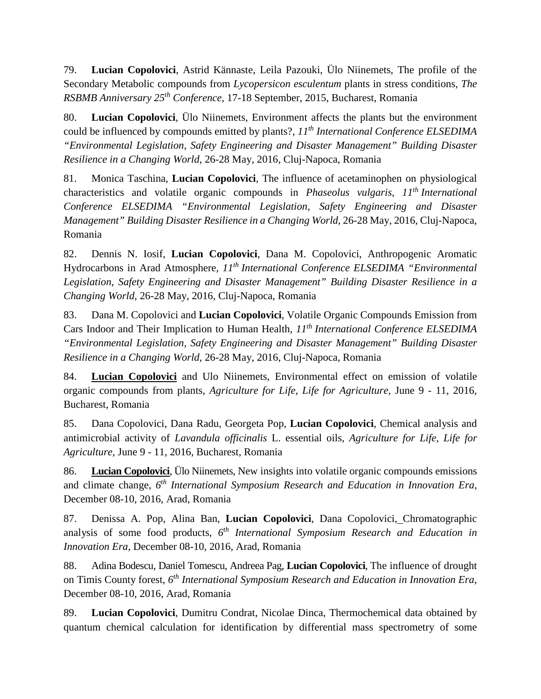79. **Lucian Copolovici**, Astrid Kännaste, Leila Pazouki, Ülo Niinemets, The profile of the Secondary Metabolic compounds from *Lycopersicon esculentum* plants in stress conditions, *The RSBMB Anniversary 25th Conference*, 17-18 September, 2015, Bucharest, Romania

80. **Lucian Copolovici**, Ülo Niinemets, Environment affects the plants but the environment could be influenced by compounds emitted by plants?, *11th International Conference ELSEDIMA "Environmental Legislation, Safety Engineering and Disaster Management" Building Disaster Resilience in a Changing World*, 26-28 May, 2016, Cluj-Napoca, Romania

81. Monica Taschina, **Lucian Copolovici**, The influence of acetaminophen on physiological characteristics and volatile organic compounds in *Phaseolus vulgaris*, *11th International Conference ELSEDIMA "Environmental Legislation, Safety Engineering and Disaster Management" Building Disaster Resilience in a Changing World*, 26-28 May, 2016, Cluj-Napoca, Romania

82. Dennis N. Iosif, **Lucian Copolovici**, Dana M. Copolovici, Anthropogenic Aromatic Hydrocarbons in Arad Atmosphere, *11th International Conference ELSEDIMA "Environmental Legislation, Safety Engineering and Disaster Management" Building Disaster Resilience in a Changing World*, 26-28 May, 2016, Cluj-Napoca, Romania

83. Dana M. Copolovici and **Lucian Copolovici**, Volatile Organic Compounds Emission from Cars Indoor and Their Implication to Human Health, *11th International Conference ELSEDIMA "Environmental Legislation, Safety Engineering and Disaster Management" Building Disaster Resilience in a Changing World*, 26-28 May, 2016, Cluj-Napoca, Romania

84. **Lucian Copolovici** and Ulo Niinemets, Environmental effect on emission of volatile organic compounds from plants, *Agriculture for Life, Life for Agriculture,* June 9 - 11, 2016, Bucharest, Romania

85. Dana Copolovici, Dana Radu, Georgeta Pop, **Lucian Copolovici**, Chemical analysis and antimicrobial activity of *Lavandula officinalis* L. essential oils, *Agriculture for Life, Life for Agriculture,* June 9 - 11, 2016, Bucharest, Romania

86. **Lucian Copolovici**, Ülo Niinemets, New insights into volatile organic compounds emissions and climate change, *6th International Symposium Research and Education in Innovation Era*, December 08-10, 2016, Arad, Romania

87. Denissa A. Pop, Alina Ban, **Lucian Copolovici**, Dana Copolovici, Chromatographic analysis of some food products, *6th International Symposium Research and Education in Innovation Era*, December 08-10, 2016, Arad, Romania

88. Adina Bodescu, Daniel Tomescu, Andreea Pag, **Lucian Copolovici**, The influence of drought on Timis County forest, *6th International Symposium Research and Education in Innovation Era*, December 08-10, 2016, Arad, Romania

89. **Lucian Copolovici**, Dumitru Condrat, Nicolae Dinca, Thermochemical data obtained by quantum chemical calculation for identification by differential mass spectrometry of some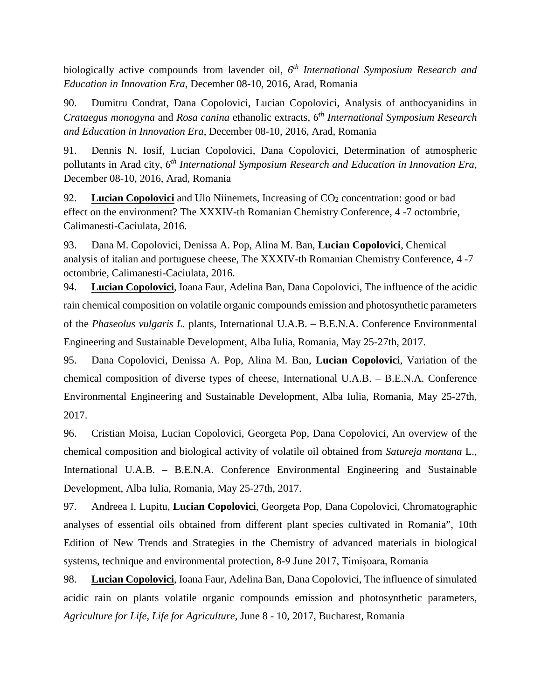biologically active compounds from lavender oil, *6th International Symposium Research and Education in Innovation Era*, December 08-10, 2016, Arad, Romania

90. Dumitru Condrat, Dana Copolovici, Lucian Copolovici, Analysis of anthocyanidins in *Crataegus monogyna* and *Rosa canina* ethanolic extracts, *6th International Symposium Research and Education in Innovation Era*, December 08-10, 2016, Arad, Romania

91. Dennis N. Iosif, Lucian Copolovici, Dana Copolovici, Determination of atmospheric pollutants in Arad city, *6th International Symposium Research and Education in Innovation Era*, December 08-10, 2016, Arad, Romania

92. **Lucian Copolovici** and Ulo Niinemets, Increasing of CO<sub>2</sub> concentration: good or bad effect on the environment? The XXXIV-th Romanian Chemistry Conference, 4 -7 octombrie, Calimanesti-Caciulata, 2016.

93. Dana M. Copolovici, Denissa A. Pop, Alina M. Ban, **Lucian Copolovici**, Chemical analysis of italian and portuguese cheese, The XXXIV-th Romanian Chemistry Conference, 4 -7 octombrie, Calimanesti-Caciulata, 2016.

94. **Lucian Copolovici**, Ioana Faur, Adelina Ban, Dana Copolovici, The influence of the acidic rain chemical composition on volatile organic compounds emission and photosynthetic parameters of the *Phaseolus vulgaris L.* plants, International U.A.B. – B.E.N.A. Conference Environmental Engineering and Sustainable Development, Alba Iulia, Romania, May 25-27th, 2017.

95. Dana Copolovici, Denissa A. Pop, Alina M. Ban, **Lucian Copolovici**, Variation of the chemical composition of diverse types of cheese, International U.A.B. – B.E.N.A. Conference Environmental Engineering and Sustainable Development, Alba Iulia, Romania, May 25-27th, 2017.

96. Cristian Moisa, Lucian Copolovici, Georgeta Pop, Dana Copolovici, An overview of the chemical composition and biological activity of volatile oil obtained from *Satureja montana* L., International U.A.B. – B.E.N.A. Conference Environmental Engineering and Sustainable Development, Alba Iulia, Romania, May 25-27th, 2017.

97. Andreea I. Lupitu, **Lucian Copolovici**, Georgeta Pop, Dana Copolovici, Chromatographic analyses of essential oils obtained from different plant species cultivated in Romania", 10th Edition of New Trends and Strategies in the Chemistry of advanced materials in biological systems, technique and environmental protection, 8-9 June 2017, Timişoara, Romania

98. **Lucian Copolovici**, Ioana Faur, Adelina Ban, Dana Copolovici, The influence of simulated acidic rain on plants volatile organic compounds emission and photosynthetic parameters, *Agriculture for Life, Life for Agriculture,* June 8 - 10, 2017, Bucharest, Romania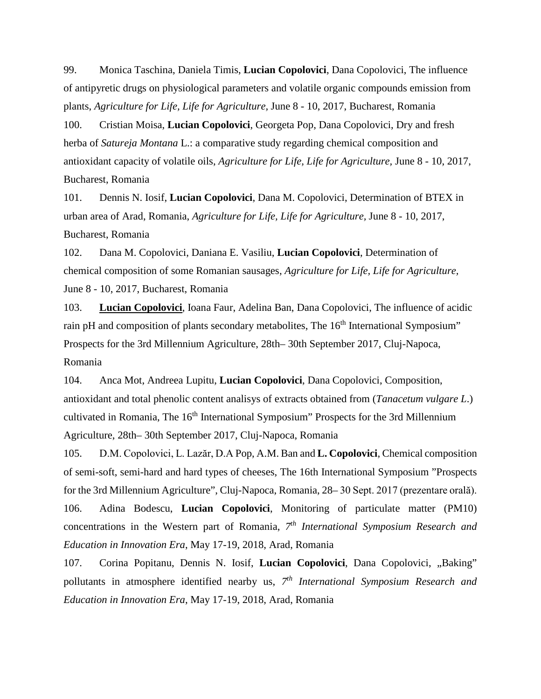99. Monica Taschina, Daniela Timis, **Lucian Copolovici**, Dana Copolovici, The influence of antipyretic drugs on physiological parameters and volatile organic compounds emission from plants, *Agriculture for Life, Life for Agriculture,* June 8 - 10, 2017, Bucharest, Romania

100. Cristian Moisa, **Lucian Copolovici**, Georgeta Pop, Dana Copolovici, Dry and fresh herba of *Satureja Montana* L.: a comparative study regarding chemical composition and antioxidant capacity of volatile oils, *Agriculture for Life, Life for Agriculture,* June 8 - 10, 2017, Bucharest, Romania

101. Dennis N. Iosif, **Lucian Copolovici**, Dana M. Copolovici, Determination of BTEX in urban area of Arad, Romania, *Agriculture for Life, Life for Agriculture,* June 8 - 10, 2017, Bucharest, Romania

102. Dana M. Copolovici, Daniana E. Vasiliu, **Lucian Copolovici**, Determination of chemical composition of some Romanian sausages, *Agriculture for Life, Life for Agriculture,* June 8 - 10, 2017, Bucharest, Romania

103. **Lucian Copolovici**, Ioana Faur, Adelina Ban, Dana Copolovici, The influence of acidic rain pH and composition of plants secondary metabolites, The 16<sup>th</sup> International Symposium" Prospects for the 3rd Millennium Agriculture, 28th– 30th September 2017, Cluj-Napoca, Romania

104. Anca Mot, Andreea Lupitu, **Lucian Copolovici**, Dana Copolovici, Composition, antioxidant and total phenolic content analisys of extracts obtained from (*Tanacetum vulgare L*.) cultivated in Romania, The 16<sup>th</sup> International Symposium" Prospects for the 3rd Millennium Agriculture, 28th– 30th September 2017, Cluj-Napoca, Romania

105. D.M. Copolovici, L. Lazăr, D.A Pop, A.M. Ban and **L. Copolovici**, Chemical composition of semi-soft, semi-hard and hard types of cheeses, The 16th International Symposium "Prospects for the 3rd Millennium Agriculture", Cluj-Napoca, Romania, 28– 30 Sept. 2017 (prezentare orală). 106. Adina Bodescu, **Lucian Copolovici**, Monitoring of particulate matter (PM10) concentrations in the Western part of Romania, *7th International Symposium Research and Education in Innovation Era*, May 17-19, 2018, Arad, Romania

107. Corina Popitanu, Dennis N. Iosif, Lucian Copolovici, Dana Copolovici, "Baking" pollutants in atmosphere identified nearby us, *7th International Symposium Research and Education in Innovation Era*, May 17-19, 2018, Arad, Romania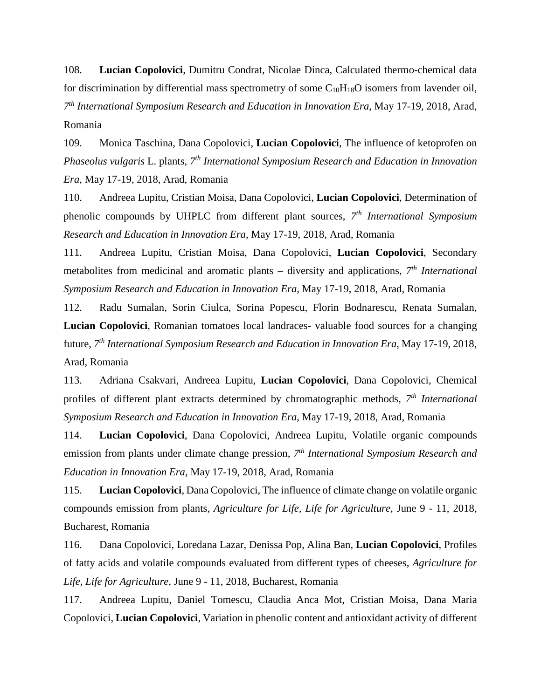108. **Lucian Copolovici**, Dumitru Condrat, Nicolae Dinca, Calculated thermo-chemical data for discrimination by differential mass spectrometry of some  $C_{10}H_{18}O$  isomers from lavender oil, *7th International Symposium Research and Education in Innovation Era*, May 17-19, 2018, Arad, Romania

109. Monica Taschina, Dana Copolovici, **Lucian Copolovici**, The influence of ketoprofen on *Phaseolus vulgaris* L. plants, *7th International Symposium Research and Education in Innovation Era*, May 17-19, 2018, Arad, Romania

110. Andreea Lupitu, Cristian Moisa, Dana Copolovici, **Lucian Copolovici**, Determination of phenolic compounds by UHPLC from different plant sources, *7th International Symposium Research and Education in Innovation Era*, May 17-19, 2018, Arad, Romania

111. Andreea Lupitu, Cristian Moisa, Dana Copolovici, **Lucian Copolovici**, Secondary metabolites from medicinal and aromatic plants – diversity and applications, *7th International Symposium Research and Education in Innovation Era*, May 17-19, 2018, Arad, Romania

112. Radu Sumalan, Sorin Ciulca, Sorina Popescu, Florin Bodnarescu, Renata Sumalan, **Lucian Copolovici**, Romanian tomatoes local landraces- valuable food sources for a changing future, *7th International Symposium Research and Education in Innovation Era*, May 17-19, 2018, Arad, Romania

113. Adriana Csakvari, Andreea Lupitu, **Lucian Copolovici**, Dana Copolovici, Chemical profiles of different plant extracts determined by chromatographic methods, *7th International Symposium Research and Education in Innovation Era*, May 17-19, 2018, Arad, Romania

114. **Lucian Copolovici**, Dana Copolovici, Andreea Lupitu, Volatile organic compounds emission from plants under climate change pression, *7th International Symposium Research and Education in Innovation Era*, May 17-19, 2018, Arad, Romania

115. **Lucian Copolovici**, Dana Copolovici, The influence of climate change on volatile organic compounds emission from plants, *Agriculture for Life, Life for Agriculture*, June 9 - 11, 2018, Bucharest, Romania

116. Dana Copolovici, Loredana Lazar, Denissa Pop, Alina Ban, **Lucian Copolovici**, Profiles of fatty acids and volatile compounds evaluated from different types of cheeses, *Agriculture for Life, Life for Agriculture*, June 9 - 11, 2018, Bucharest, Romania

117. Andreea Lupitu, Daniel Tomescu, Claudia Anca Mot, Cristian Moisa, Dana Maria Copolovici, **Lucian Copolovici**, Variation in phenolic content and antioxidant activity of different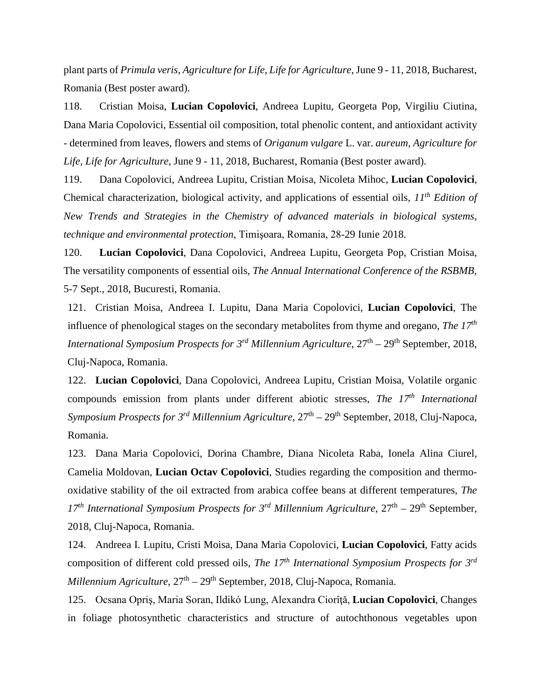plant parts of *Primula veris*, *Agriculture for Life, Life for Agriculture*, June 9 - 11, 2018, Bucharest, Romania (Best poster award).

118. Cristian Moisa, **Lucian Copolovici**, Andreea Lupitu, Georgeta Pop, Virgiliu Ciutina, Dana Maria Copolovici, Essential oil composition, total phenolic content, and antioxidant activity - determined from leaves, flowers and stems of *Origanum vulgare* L. var. *aureum*, *Agriculture for Life, Life for Agriculture*, June 9 - 11, 2018, Bucharest, Romania (Best poster award).

119. Dana Copolovici, Andreea Lupitu, Cristian Moisa, Nicoleta Mihoc, **Lucian Copolovici**, Chemical characterization, biological activity, and applications of essential oils, *11th Edition of New Trends and Strategies in the Chemistry of advanced materials in biological systems, technique and environmental protection*, Timişoara, Romania, 28-29 Iunie 2018.

120. **Lucian Copolovici**, Dana Copolovici, Andreea Lupitu, Georgeta Pop, Cristian Moisa, The versatility components of essential oils, *The Annual International Conference of the RSBMB*, 5-7 Sept., 2018, Bucuresti, Romania.

121. Cristian Moisa, Andreea I. Lupitu, Dana Maria Copolovici, **Lucian Copolovici**, The influence of phenological stages on the secondary metabolites from thyme and oregano, *The 17th International Symposium Prospects for 3<sup>rd</sup> Millennium Agriculture*,  $27<sup>th</sup> - 29<sup>th</sup>$  September, 2018, Cluj-Napoca, Romania.

122. **Lucian Copolovici**, Dana Copolovici, Andreea Lupitu, Cristian Moisa, Volatile organic compounds emission from plants under different abiotic stresses, *The 17th International Symposium Prospects for 3<sup>rd</sup> Millennium Agriculture*,  $27<sup>th</sup> - 29<sup>th</sup>$  September, 2018, Cluj-Napoca, Romania.

123. Dana Maria Copolovici, Dorina Chambre, Diana Nicoleta Raba, Ionela Alina Ciurel, Camelia Moldovan, **Lucian Octav Copolovici**, Studies regarding the composition and thermooxidative stability of the oil extracted from arabica coffee beans at different temperatures, *The 17th International Symposium Prospects for 3rd Millennium Agriculture*, 27th – 29th September, 2018, Cluj-Napoca, Romania.

124. Andreea I. Lupitu, Cristi Moisa, Dana Maria Copolovici, **Lucian Copolovici**, Fatty acids composition of different cold pressed oils, *The 17th International Symposium Prospects for 3rd Millennium Agriculture*,  $27<sup>th</sup> - 29<sup>th</sup>$  September, 2018, Cluj-Napoca, Romania.

125. Ocsana Opriş, Maria Soran, Ildikó Lung, Alexandra Ciorîţă, **Lucian Copolovici**, Changes in foliage photosynthetic characteristics and structure of autochthonous vegetables upon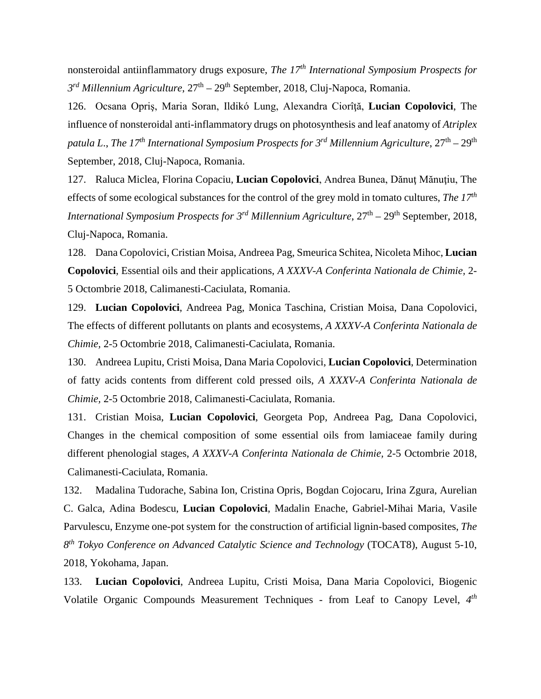nonsteroidal antiinflammatory drugs exposure, *The 17th International Symposium Prospects for 3rd Millennium Agriculture*, 27th – 29th September, 2018, Cluj-Napoca, Romania.

126. Ocsana Opriş, Maria Soran, Ildikó Lung, Alexandra Ciorîţă, **Lucian Copolovici**, The influence of nonsteroidal anti-inflammatory drugs on photosynthesis and leaf anatomy of *Atriplex patula L*., *The 17th International Symposium Prospects for 3rd Millennium Agriculture*, 27th – 29th September, 2018, Cluj-Napoca, Romania.

127. Raluca Miclea, Florina Copaciu, **Lucian Copolovici**, Andrea Bunea, Dănuţ Mănuţiu, The effects of some ecological substances for the control of the grey mold in tomato cultures, *The 17th International Symposium Prospects for 3<sup>rd</sup> Millennium Agriculture*,  $27<sup>th</sup> - 29<sup>th</sup>$  September, 2018, Cluj-Napoca, Romania.

128. Dana Copolovici, Cristian Moisa, Andreea Pag, Smeurica Schitea, Nicoleta Mihoc, **Lucian Copolovici**, Essential oils and their applications, *A XXXV-A Conferinta Nationala de Chimie,* 2- 5 Octombrie 2018, Calimanesti-Caciulata, Romania.

129. **Lucian Copolovici**, Andreea Pag, Monica Taschina, Cristian Moisa, Dana Copolovici, The effects of different pollutants on plants and ecosystems, *A XXXV-A Conferinta Nationala de Chimie,* 2-5 Octombrie 2018, Calimanesti-Caciulata, Romania.

130. Andreea Lupitu, Cristi Moisa, Dana Maria Copolovici, **Lucian Copolovici**, Determination of fatty acids contents from different cold pressed oils, *A XXXV-A Conferinta Nationala de Chimie,* 2-5 Octombrie 2018, Calimanesti-Caciulata, Romania.

131. Cristian Moisa, **Lucian Copolovici**, Georgeta Pop, Andreea Pag, Dana Copolovici, Changes in the chemical composition of some essential oils from lamiaceae family during different phenologial stages, *A XXXV-A Conferinta Nationala de Chimie,* 2-5 Octombrie 2018, Calimanesti-Caciulata, Romania.

132. Madalina Tudorache, Sabina Ion, Cristina Opris, Bogdan Cojocaru, Irina Zgura, Aurelian C. Galca, Adina Bodescu, **Lucian Copolovici**, Madalin Enache, Gabriel-Mihai Maria, Vasile Parvulescu, Enzyme one-pot system for the construction of artificial lignin-based composites, *The 8th Tokyo Conference on Advanced Catalytic Science and Technology* (TOCAT8), August 5-10, 2018, Yokohama, Japan.

133. **Lucian Copolovici**, Andreea Lupitu, Cristi Moisa, Dana Maria Copolovici, Biogenic Volatile Organic Compounds Measurement Techniques - from Leaf to Canopy Level, *4th*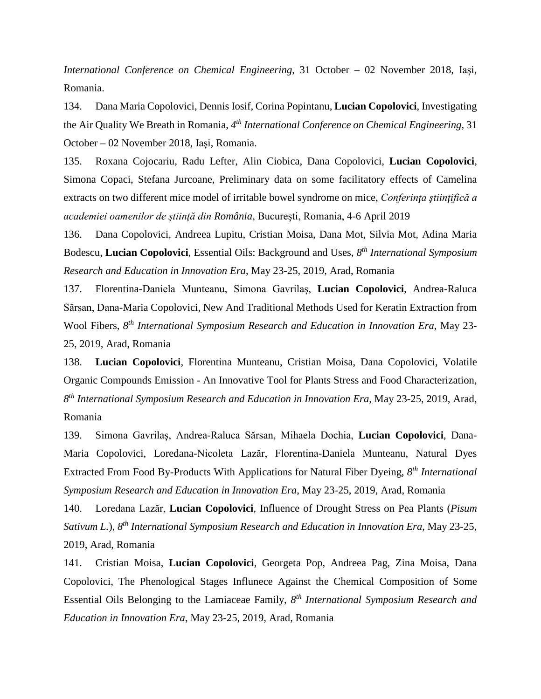*International Conference on Chemical Engineering*, 31 October – 02 November 2018, Iași, Romania.

134. Dana Maria Copolovici, Dennis Iosif, Corina Popintanu, **Lucian Copolovici**, Investigating the Air Quality We Breath in Romania, *4th International Conference on Chemical Engineering*, 31 October – 02 November 2018, Iași, Romania.

135. Roxana Cojocariu, Radu Lefter, Alin Ciobica, Dana Copolovici, **Lucian Copolovici**, Simona Copaci, Stefana Jurcoane, Preliminary data on some facilitatory effects of Camelina extracts on two different mice model of irritable bowel syndrome on mice, *Conferinţa ştiinţifică a academiei oamenilor de ştiinţă din România*, Bucureşti, Romania, 4-6 April 2019

136. Dana Copolovici, Andreea Lupitu, Cristian Moisa, Dana Mot, Silvia Mot, Adina Maria Bodescu, **Lucian Copolovici**, Essential Oils: Background and Uses, *8th International Symposium Research and Education in Innovation Era*, May 23-25, 2019, Arad, Romania

137. Florentina-Daniela Munteanu, Simona Gavrilaș, **Lucian Copolovici**, Andrea-Raluca Sărsan, Dana-Maria Copolovici, New And Traditional Methods Used for Keratin Extraction from Wool Fibers, *8th International Symposium Research and Education in Innovation Era*, May 23- 25, 2019, Arad, Romania

138. **Lucian Copolovici**, Florentina Munteanu, Cristian Moisa, Dana Copolovici, Volatile Organic Compounds Emission - An Innovative Tool for Plants Stress and Food Characterization, *8th International Symposium Research and Education in Innovation Era*, May 23-25, 2019, Arad, Romania

139. Simona Gavrilaș, Andrea-Raluca Sărsan, Mihaela Dochia, **Lucian Copolovici**, Dana-Maria Copolovici, Loredana-Nicoleta Lazăr, Florentina-Daniela Munteanu, Natural Dyes Extracted From Food By-Products With Applications for Natural Fiber Dyeing, *8th International Symposium Research and Education in Innovation Era*, May 23-25, 2019, Arad, Romania

140. Loredana Lazăr, **Lucian Copolovici**, Influence of Drought Stress on Pea Plants (*Pisum Sativum L.*), *8th International Symposium Research and Education in Innovation Era*, May 23-25, 2019, Arad, Romania

141. Cristian Moisa, **Lucian Copolovici**, Georgeta Pop, Andreea Pag, Zina Moisa, Dana Copolovici, The Phenological Stages Influnece Against the Chemical Composition of Some Essential Oils Belonging to the Lamiaceae Family, *8th International Symposium Research and Education in Innovation Era*, May 23-25, 2019, Arad, Romania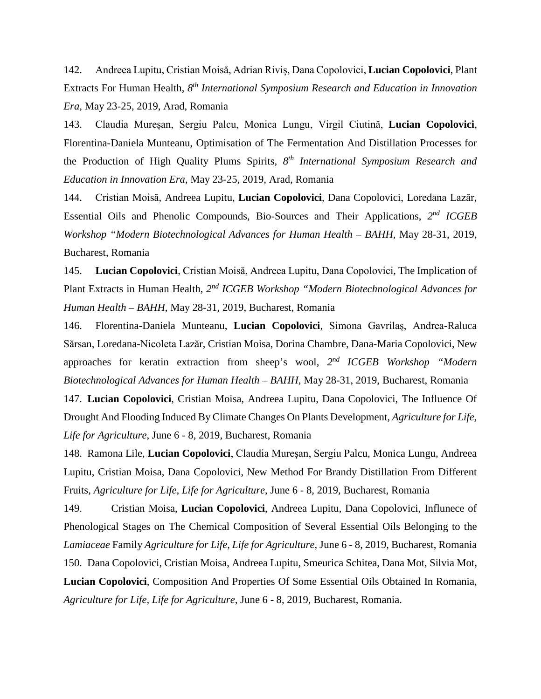142. Andreea Lupitu, Cristian Moisă, Adrian Riviș, Dana Copolovici, **Lucian Copolovici**, Plant Extracts For Human Health, *8th International Symposium Research and Education in Innovation Era*, May 23-25, 2019, Arad, Romania

143. Claudia Mureșan, Sergiu Palcu, Monica Lungu, Virgil Ciutină, **Lucian Copolovici**, Florentina-Daniela Munteanu, Optimisation of The Fermentation And Distillation Processes for the Production of High Quality Plums Spirits, *8th International Symposium Research and Education in Innovation Era*, May 23-25, 2019, Arad, Romania

144. Cristian Moisă, Andreea Lupitu, **Lucian Copolovici**, Dana Copolovici, Loredana Lazăr, Essential Oils and Phenolic Compounds, Bio-Sources and Their Applications, *2nd ICGEB Workshop "Modern Biotechnological Advances for Human Health – BAHH*, May 28-31, 2019, Bucharest, Romania

145. **Lucian Copolovici**, Cristian Moisă, Andreea Lupitu, Dana Copolovici, The Implication of Plant Extracts in Human Health, *2nd ICGEB Workshop "Modern Biotechnological Advances for Human Health – BAHH*, May 28-31, 2019, Bucharest, Romania

146. Florentina-Daniela Munteanu, **Lucian Copolovici**, Simona Gavrilaș, Andrea-Raluca Sărsan, Loredana-Nicoleta Lazăr, Cristian Moisa, Dorina Chambre, Dana-Maria Copolovici, New approaches for keratin extraction from sheep's wool, *2nd ICGEB Workshop "Modern Biotechnological Advances for Human Health – BAHH*, May 28-31, 2019, Bucharest, Romania

147. **Lucian Copolovici**, Cristian Moisa, Andreea Lupitu, Dana Copolovici, The Influence Of Drought And Flooding Induced By Climate Changes On Plants Development, *Agriculture for Life, Life for Agriculture*, June 6 - 8, 2019, Bucharest, Romania

148. Ramona Lile, **Lucian Copolovici**, Claudia Mureşan, Sergiu Palcu, Monica Lungu, Andreea Lupitu, Cristian Moisa, Dana Copolovici, New Method For Brandy Distillation From Different Fruits, *Agriculture for Life, Life for Agriculture*, June 6 - 8, 2019, Bucharest, Romania

149. Cristian Moisa, **Lucian Copolovici**, Andreea Lupitu, Dana Copolovici, Influnece of Phenological Stages on The Chemical Composition of Several Essential Oils Belonging to the *Lamiaceae* Family *Agriculture for Life, Life for Agriculture*, June 6 - 8, 2019, Bucharest, Romania 150. Dana Copolovici, Cristian Moisa, Andreea Lupitu, Smeurica Schitea, Dana Mot, Silvia Mot, **Lucian Copolovici**, Composition And Properties Of Some Essential Oils Obtained In Romania, *Agriculture for Life, Life for Agriculture*, June 6 - 8, 2019, Bucharest, Romania.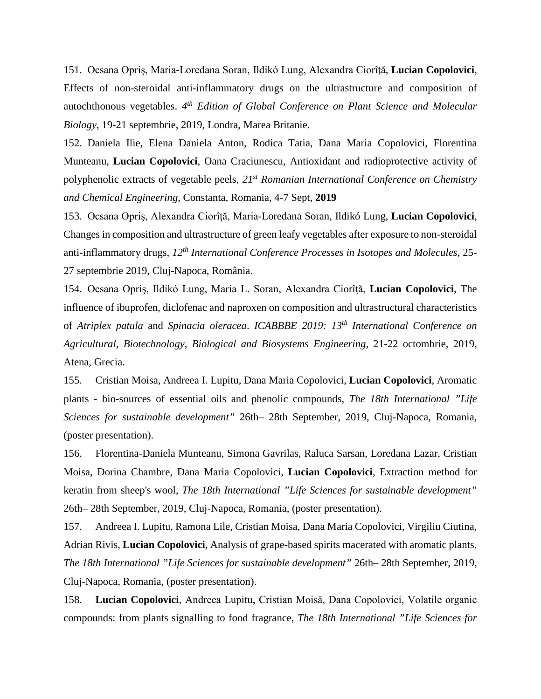151. Ocsana Opriş, Maria-Loredana Soran, Ildikó Lung, Alexandra Ciorîţă, **Lucian Copolovici**, Effects of non-steroidal anti-inflammatory drugs on the ultrastructure and composition of autochthonous vegetables. *4th Edition of Global Conference on Plant Science and Molecular Biology*, 19-21 septembrie, 2019, Londra, Marea Britanie.

152. Daniela Ilie, Elena Daniela Anton, Rodica Tatia, Dana Maria Copolovici, Florentina Munteanu, **Lucian Copolovici**, Oana Craciunescu, Antioxidant and radioprotective activity of polyphenolic extracts of vegetable peels*, 21st Romanian International Conference on Chemistry and Chemical Engineering*, Constanta, Romania, 4-7 Sept, **2019**

153. Ocsana Opriş, Alexandra Ciorîţă, Maria-Loredana Soran, Ildikó Lung, **Lucian Copolovici**, Changes in composition and ultrastructure of green leafy vegetables after exposure to non-steroidal anti-inflammatory drugs, *12th International Conference Processes in Isotopes and Molecules*, 25- 27 septembrie 2019, Cluj-Napoca, România.

154. Ocsana Opriş, Ildikó Lung, Maria L. Soran, Alexandra Ciorîţă, **Lucian Copolovici**, The influence of ibuprofen, diclofenac and naproxen on composition and ultrastructural characteristics of *Atriplex patula* and *Spinacia oleracea*. *ICABBBE 2019: 13th International Conference on Agricultural, Biotechnology, Biological and Biosystems Engineering*, 21-22 octombrie, 2019, Atena, Grecia.

155. Cristian Moisa, Andreea I. Lupitu, Dana Maria Copolovici, **Lucian Copolovici**, Aromatic plants - bio-sources of essential oils and phenolic compounds, *The 18th International "Life Sciences for sustainable development"* 26th– 28th September, 2019, Cluj-Napoca, Romania, (poster presentation).

156. Florentina-Daniela Munteanu, Simona Gavrilas, Raluca Sarsan, Loredana Lazar, Cristian Moisa, Dorina Chambre, Dana Maria Copolovici, **Lucian Copolovici**, Extraction method for keratin from sheep's wool, *The 18th International "Life Sciences for sustainable development"* 26th– 28th September, 2019, Cluj-Napoca, Romania, (poster presentation).

157. Andreea I. Lupitu, Ramona Lile, Cristian Moisa, Dana Maria Copolovici, Virgiliu Ciutina, Adrian Rivis, **Lucian Copolovici**, Analysis of grape-based spirits macerated with aromatic plants, *The 18th International "Life Sciences for sustainable development"* 26th– 28th September, 2019, Cluj-Napoca, Romania, (poster presentation).

158. **Lucian Copolovici**, Andreea Lupitu, Cristian Moisă, Dana Copolovici, Volatile organic compounds: from plants signalling to food fragrance, *The 18th International "Life Sciences for*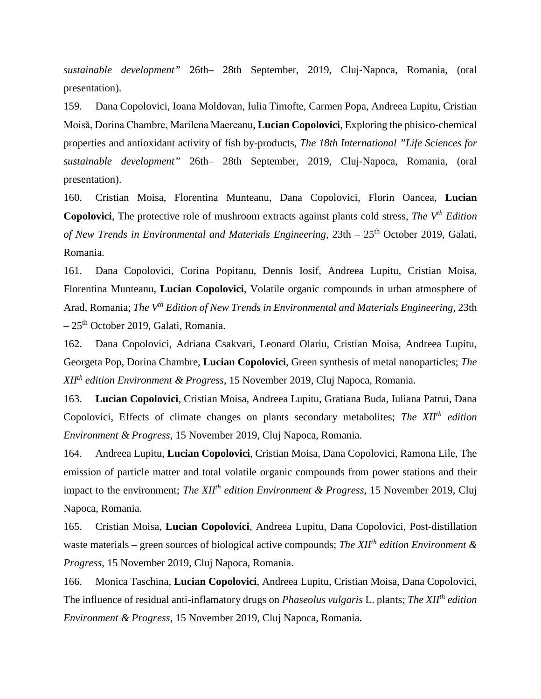*sustainable development"* 26th– 28th September, 2019, Cluj-Napoca, Romania, (oral presentation).

159. Dana Copolovici, Ioana Moldovan, Iulia Timofte, Carmen Popa, Andreea Lupitu, Cristian Moisă, Dorina Chambre, Marilena Maereanu, **Lucian Copolovici**, Exploring the phisico-chemical properties and antioxidant activity of fish by-products, *The 18th International "Life Sciences for sustainable development"* 26th– 28th September, 2019, Cluj-Napoca, Romania, (oral presentation).

160. Cristian Moisa, Florentina Munteanu, Dana Copolovici, Florin Oancea, **Lucian Copolovici**, The protective role of mushroom extracts against plants cold stress, *The V<sup>th</sup> Edition of New Trends in Environmental and Materials Engineering*, 23th – 25<sup>th</sup> October 2019, Galati, Romania.

161. Dana Copolovici, Corina Popitanu, Dennis Iosif, Andreea Lupitu, Cristian Moisa, Florentina Munteanu, **Lucian Copolovici**, Volatile organic compounds in urban atmosphere of Arad, Romania; *The Vth Edition of New Trends in Environmental and Materials Engineering*, 23th  $-25<sup>th</sup>$  October 2019, Galati, Romania.

162. Dana Copolovici, Adriana Csakvari, Leonard Olariu, Cristian Moisa, Andreea Lupitu, Georgeta Pop, Dorina Chambre, **Lucian Copolovici**, Green synthesis of metal nanoparticles; *The XIIth edition Environment & Progress*, 15 November 2019, Cluj Napoca, Romania.

163. **Lucian Copolovici**, Cristian Moisa, Andreea Lupitu, Gratiana Buda, Iuliana Patrui, Dana Copolovici, Effects of climate changes on plants secondary metabolites; *The XII<sup>th</sup> edition Environment & Progress*, 15 November 2019, Cluj Napoca, Romania.

164. Andreea Lupitu, **Lucian Copolovici**, Cristian Moisa, Dana Copolovici, Ramona Lile, The emission of particle matter and total volatile organic compounds from power stations and their impact to the environment; *The XII<sup>th</sup> edition Environment & Progress*, 15 November 2019, Cluj Napoca, Romania.

165. Cristian Moisa, **Lucian Copolovici**, Andreea Lupitu, Dana Copolovici, Post-distillation waste materials – green sources of biological active compounds; *The XIIth edition Environment & Progress*, 15 November 2019, Cluj Napoca, Romania.

166. Monica Taschina, **Lucian Copolovici**, Andreea Lupitu, Cristian Moisa, Dana Copolovici, The influence of residual anti-inflamatory drugs on *Phaseolus vulgaris* L. plants; *The XIIth edition Environment & Progress*, 15 November 2019, Cluj Napoca, Romania.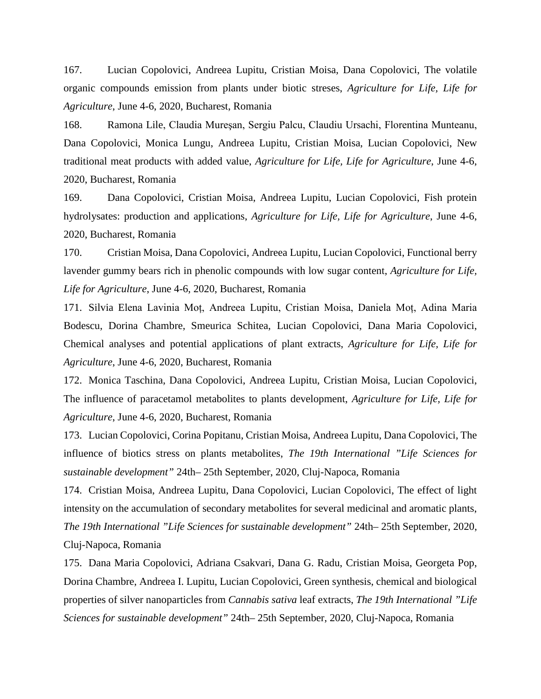167. Lucian Copolovici, Andreea Lupitu, Cristian Moisa, Dana Copolovici, The volatile organic compounds emission from plants under biotic streses, *Agriculture for Life, Life for Agriculture*, June 4-6, 2020, Bucharest, Romania

168. Ramona Lile, Claudia Mureşan, Sergiu Palcu, Claudiu Ursachi, Florentina Munteanu, Dana Copolovici, Monica Lungu, Andreea Lupitu, Cristian Moisa, Lucian Copolovici, New traditional meat products with added value, *Agriculture for Life, Life for Agriculture*, June 4-6, 2020, Bucharest, Romania

169. Dana Copolovici, Cristian Moisa, Andreea Lupitu, Lucian Copolovici, Fish protein hydrolysates: production and applications, *Agriculture for Life, Life for Agriculture*, June 4-6, 2020, Bucharest, Romania

170. Cristian Moisa, Dana Copolovici, Andreea Lupitu, Lucian Copolovici, Functional berry lavender gummy bears rich in phenolic compounds with low sugar content, *Agriculture for Life, Life for Agriculture*, June 4-6, 2020, Bucharest, Romania

171. Silvia Elena Lavinia Moț, Andreea Lupitu, Cristian Moisa, Daniela Moț, Adina Maria Bodescu, Dorina Chambre, Smeurica Schitea, Lucian Copolovici, Dana Maria Copolovici, Chemical analyses and potential applications of plant extracts, *Agriculture for Life, Life for Agriculture*, June 4-6, 2020, Bucharest, Romania

172. Monica Taschina, Dana Copolovici, Andreea Lupitu, Cristian Moisa, Lucian Copolovici, The influence of paracetamol metabolites to plants development, *Agriculture for Life, Life for Agriculture*, June 4-6, 2020, Bucharest, Romania

173. Lucian Copolovici, Corina Popitanu, Cristian Moisa, Andreea Lupitu, Dana Copolovici, The influence of biotics stress on plants metabolites, *The 19th International "Life Sciences for sustainable development"* 24th– 25th September, 2020, Cluj-Napoca, Romania

174. Cristian Moisa, Andreea Lupitu, Dana Copolovici, Lucian Copolovici, The effect of light intensity on the accumulation of secondary metabolites for several medicinal and aromatic plants, *The 19th International "Life Sciences for sustainable development"* 24th– 25th September, 2020, Cluj-Napoca, Romania

175. Dana Maria Copolovici, Adriana Csakvari, Dana G. Radu, Cristian Moisa, Georgeta Pop, Dorina Chambre, Andreea I. Lupitu, Lucian Copolovici, Green synthesis, chemical and biological properties of silver nanoparticles from *Cannabis sativa* leaf extracts, *The 19th International "Life Sciences for sustainable development"* 24th– 25th September, 2020, Cluj-Napoca, Romania